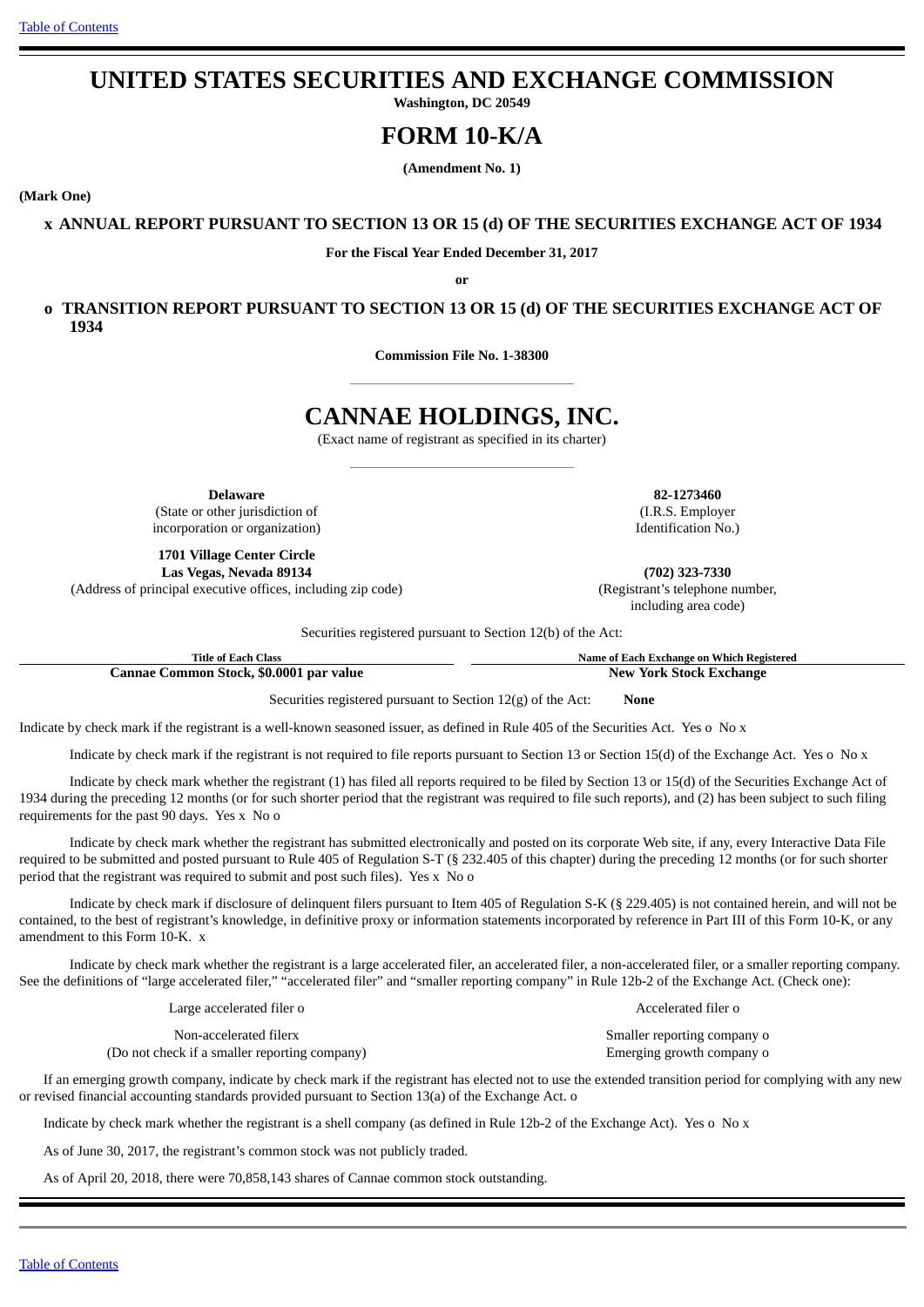# **UNITED STATES SECURITIES AND EXCHANGE COMMISSION**

**Washington, DC 20549**

# **FORM 10-K/A**

**(Amendment No. 1)**

**(Mark One)**

**x ANNUAL REPORT PURSUANT TO SECTION 13 OR 15 (d) OF THE SECURITIES EXCHANGE ACT OF 1934**

**For the Fiscal Year Ended December 31, 2017**

**or**

**o TRANSITION REPORT PURSUANT TO SECTION 13 OR 15 (d) OF THE SECURITIES EXCHANGE ACT OF 1934**

**Commission File No. 1-38300**

# **CANNAE HOLDINGS, INC.**

(Exact name of registrant as specified in its charter)

**Delaware 82-1273460** (State or other jurisdiction of incorporation or organization)

**1701 Village Center Circle Las Vegas, Nevada 89134 (702) 323-7330**

(Address of principal executive offices, including zip code) (Registrant's telephone number,

(I.R.S. Employer Identification No.)

including area code)

Securities registered pursuant to Section 12(b) of the Act:

| <b>Title of Each Class</b>              | Name of Each Exchange on Which Registered |
|-----------------------------------------|-------------------------------------------|
| Cannae Common Stock, \$0.0001 par value | <b>New York Stock Exchange</b>            |

Securities registered pursuant to Section 12(g) of the Act: **None**

Indicate by check mark if the registrant is a well-known seasoned issuer, as defined in Rule 405 of the Securities Act. Yes o No x

Indicate by check mark if the registrant is not required to file reports pursuant to Section 13 or Section 15(d) of the Exchange Act. Yes o No x

Indicate by check mark whether the registrant (1) has filed all reports required to be filed by Section 13 or 15(d) of the Securities Exchange Act of 1934 during the preceding 12 months (or for such shorter period that the registrant was required to file such reports), and (2) has been subject to such filing requirements for the past 90 days. Yes x No o

Indicate by check mark whether the registrant has submitted electronically and posted on its corporate Web site, if any, every Interactive Data File required to be submitted and posted pursuant to Rule 405 of Regulation S-T (§ 232.405 of this chapter) during the preceding 12 months (or for such shorter period that the registrant was required to submit and post such files). Yes x No o

Indicate by check mark if disclosure of delinquent filers pursuant to Item 405 of Regulation S-K (§ 229.405) is not contained herein, and will not be contained, to the best of registrant's knowledge, in definitive proxy or information statements incorporated by reference in Part III of this Form 10-K, or any amendment to this Form 10-K. x

Indicate by check mark whether the registrant is a large accelerated filer, an accelerated filer, a non-accelerated filer, or a smaller reporting company. See the definitions of "large accelerated filer," "accelerated filer" and "smaller reporting company" in Rule 12b-2 of the Exchange Act. (Check one):

Large accelerated filer o and the Accelerated filer o Accelerated filer o

Non-accelerated filerx Smaller reporting company on the Smaller reporting company on  $\mathbb{S}$ (Do not check if a smaller reporting company) Emerging growth company o

If an emerging growth company, indicate by check mark if the registrant has elected not to use the extended transition period for complying with any new or revised financial accounting standards provided pursuant to Section 13(a) of the Exchange Act. o

Indicate by check mark whether the registrant is a shell company (as defined in Rule 12b-2 of the Exchange Act). Yes o No x

As of June 30, 2017, the registrant's common stock was not publicly traded.

As of April 20, 2018, there were 70,858,143 shares of Cannae common stock outstanding.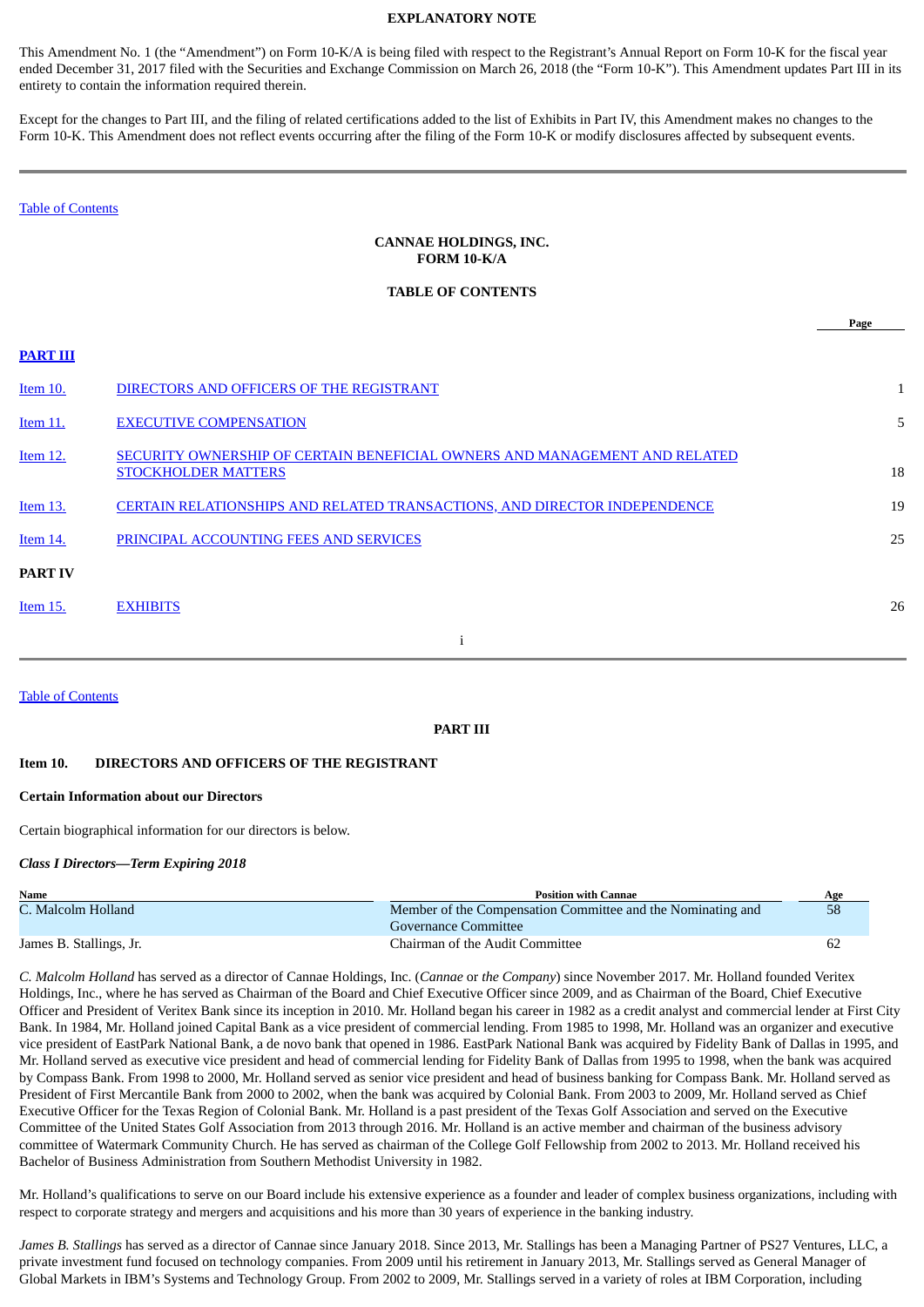## **EXPLANATORY NOTE**

This Amendment No. 1 (the "Amendment") on Form 10-K/A is being filed with respect to the Registrant's Annual Report on Form 10-K for the fiscal year ended December 31, 2017 filed with the Securities and Exchange Commission on March 26, 2018 (the "Form 10-K"). This Amendment updates Part III in its entirety to contain the information required therein.

Except for the changes to Part III, and the filing of related certifications added to the list of Exhibits in Part IV, this Amendment makes no changes to the Form 10-K. This Amendment does not reflect events occurring after the filing of the Form 10-K or modify disclosures affected by subsequent events.

Table of [Contents](#page-1-0)

## **CANNAE HOLDINGS, INC. FORM 10-K/A**

#### <span id="page-1-0"></span>**TABLE OF CONTENTS**

|                 |                                                                                                          | Page |
|-----------------|----------------------------------------------------------------------------------------------------------|------|
| <b>PART III</b> |                                                                                                          |      |
| Item 10.        | DIRECTORS AND OFFICERS OF THE REGISTRANT                                                                 |      |
| <b>Item 11.</b> | <b>EXECUTIVE COMPENSATION</b>                                                                            | 5    |
| Item 12.        | SECURITY OWNERSHIP OF CERTAIN BENEFICIAL OWNERS AND MANAGEMENT AND RELATED<br><b>STOCKHOLDER MATTERS</b> | 18   |
| <b>Item 13.</b> | <b>CERTAIN RELATIONSHIPS AND RELATED TRANSACTIONS, AND DIRECTOR INDEPENDENCE</b>                         | 19   |
| Item 14.        | PRINCIPAL ACCOUNTING FEES AND SERVICES                                                                   | 25   |
| <b>PART IV</b>  |                                                                                                          |      |
| Item 15.        | <b>EXHIBITS</b>                                                                                          | 26   |
|                 |                                                                                                          |      |

#### Table of [Contents](#page-1-0)

#### <span id="page-1-2"></span><span id="page-1-1"></span>**PART III**

#### **Item 10. DIRECTORS AND OFFICERS OF THE REGISTRANT**

#### **Certain Information about our Directors**

Certain biographical information for our directors is below.

## *Class I Directors—Term Expiring 2018*

| Name                    | <b>Position with Cannae</b>                                 | Age |
|-------------------------|-------------------------------------------------------------|-----|
| C. Malcolm Holland      | Member of the Compensation Committee and the Nominating and | 58  |
|                         | Governance Committee                                        |     |
| James B. Stallings, Jr. | Chairman of the Audit Committee                             |     |

*C. Malcolm Holland* has served as a director of Cannae Holdings, Inc. (*Cannae* or *the Company*) since November 2017. Mr. Holland founded Veritex Holdings, Inc., where he has served as Chairman of the Board and Chief Executive Officer since 2009, and as Chairman of the Board, Chief Executive Officer and President of Veritex Bank since its inception in 2010. Mr. Holland began his career in 1982 as a credit analyst and commercial lender at First City Bank. In 1984, Mr. Holland joined Capital Bank as a vice president of commercial lending. From 1985 to 1998, Mr. Holland was an organizer and executive vice president of EastPark National Bank, a de novo bank that opened in 1986. EastPark National Bank was acquired by Fidelity Bank of Dallas in 1995, and Mr. Holland served as executive vice president and head of commercial lending for Fidelity Bank of Dallas from 1995 to 1998, when the bank was acquired by Compass Bank. From 1998 to 2000, Mr. Holland served as senior vice president and head of business banking for Compass Bank. Mr. Holland served as President of First Mercantile Bank from 2000 to 2002, when the bank was acquired by Colonial Bank. From 2003 to 2009, Mr. Holland served as Chief Executive Officer for the Texas Region of Colonial Bank. Mr. Holland is a past president of the Texas Golf Association and served on the Executive Committee of the United States Golf Association from 2013 through 2016. Mr. Holland is an active member and chairman of the business advisory committee of Watermark Community Church. He has served as chairman of the College Golf Fellowship from 2002 to 2013. Mr. Holland received his Bachelor of Business Administration from Southern Methodist University in 1982.

Mr. Holland's qualifications to serve on our Board include his extensive experience as a founder and leader of complex business organizations, including with respect to corporate strategy and mergers and acquisitions and his more than 30 years of experience in the banking industry.

*James B. Stallings* has served as a director of Cannae since January 2018. Since 2013, Mr. Stallings has been a Managing Partner of PS27 Ventures, LLC, a private investment fund focused on technology companies. From 2009 until his retirement in January 2013, Mr. Stallings served as General Manager of Global Markets in IBM's Systems and Technology Group. From 2002 to 2009, Mr. Stallings served in a variety of roles at IBM Corporation, including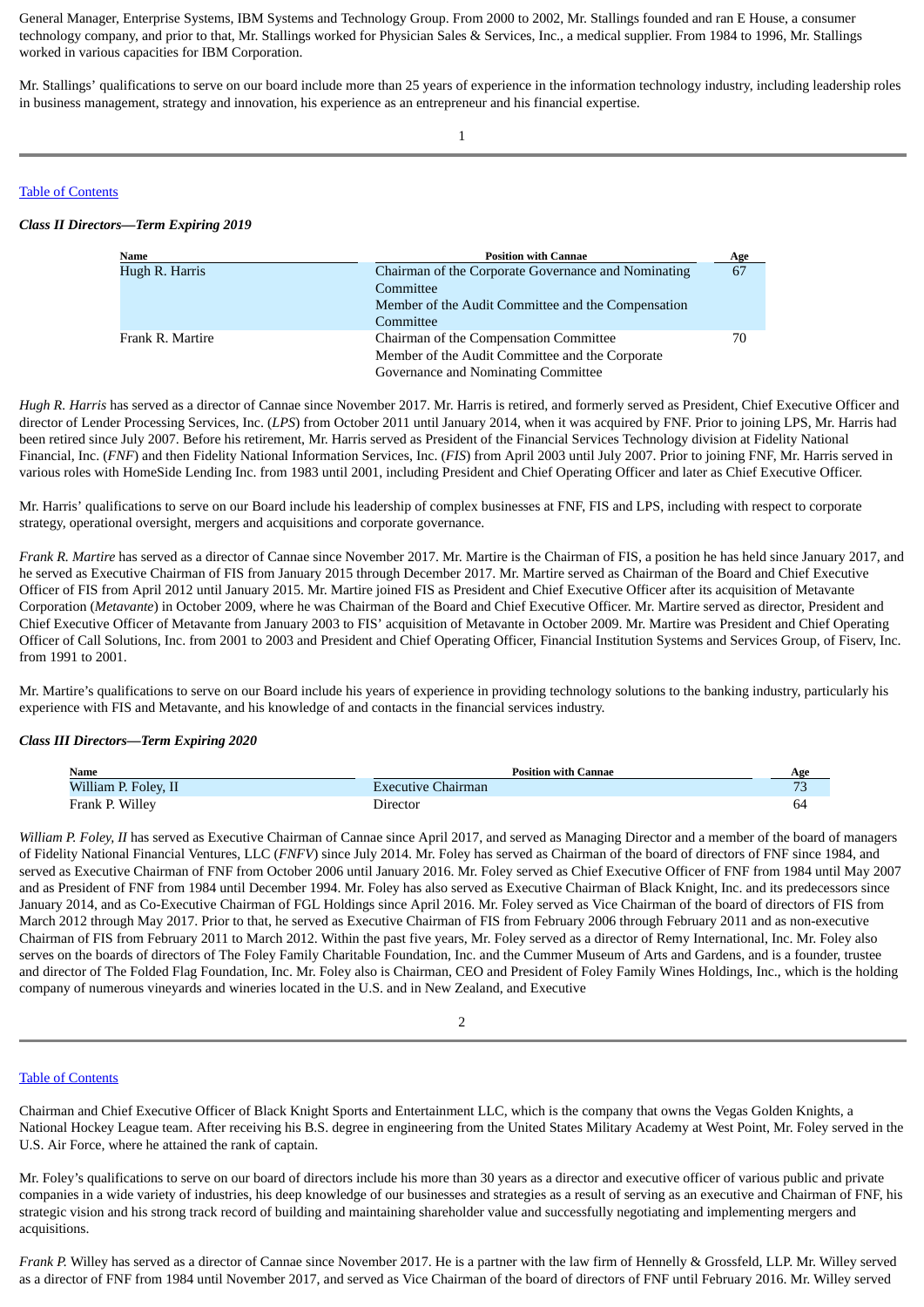General Manager, Enterprise Systems, IBM Systems and Technology Group. From 2000 to 2002, Mr. Stallings founded and ran E House, a consumer technology company, and prior to that, Mr. Stallings worked for Physician Sales & Services, Inc., a medical supplier. From 1984 to 1996, Mr. Stallings worked in various capacities for IBM Corporation.

Mr. Stallings' qualifications to serve on our board include more than 25 years of experience in the information technology industry, including leadership roles in business management, strategy and innovation, his experience as an entrepreneur and his financial expertise.

1

#### Table of [Contents](#page-1-0)

#### *Class II Directors—Term Expiring 2019*

| Name             | <b>Position with Cannae</b>                         | Age |
|------------------|-----------------------------------------------------|-----|
| Hugh R. Harris   | Chairman of the Corporate Governance and Nominating | 67  |
|                  | Committee                                           |     |
|                  | Member of the Audit Committee and the Compensation  |     |
|                  | Committee                                           |     |
| Frank R. Martire | Chairman of the Compensation Committee              | 70  |
|                  | Member of the Audit Committee and the Corporate     |     |
|                  | Governance and Nominating Committee                 |     |

*Hugh R. Harris* has served as a director of Cannae since November 2017. Mr. Harris is retired, and formerly served as President, Chief Executive Officer and director of Lender Processing Services, Inc. (*LPS*) from October 2011 until January 2014, when it was acquired by FNF. Prior to joining LPS, Mr. Harris had been retired since July 2007. Before his retirement, Mr. Harris served as President of the Financial Services Technology division at Fidelity National Financial, Inc. (*FNF*) and then Fidelity National Information Services, Inc. (*FIS*) from April 2003 until July 2007. Prior to joining FNF, Mr. Harris served in various roles with HomeSide Lending Inc. from 1983 until 2001, including President and Chief Operating Officer and later as Chief Executive Officer.

Mr. Harris' qualifications to serve on our Board include his leadership of complex businesses at FNF, FIS and LPS, including with respect to corporate strategy, operational oversight, mergers and acquisitions and corporate governance.

*Frank R. Martire* has served as a director of Cannae since November 2017. Mr. Martire is the Chairman of FIS, a position he has held since January 2017, and he served as Executive Chairman of FIS from January 2015 through December 2017. Mr. Martire served as Chairman of the Board and Chief Executive Officer of FIS from April 2012 until January 2015. Mr. Martire joined FIS as President and Chief Executive Officer after its acquisition of Metavante Corporation (*Metavante*) in October 2009, where he was Chairman of the Board and Chief Executive Officer. Mr. Martire served as director, President and Chief Executive Officer of Metavante from January 2003 to FIS' acquisition of Metavante in October 2009. Mr. Martire was President and Chief Operating Officer of Call Solutions, Inc. from 2001 to 2003 and President and Chief Operating Officer, Financial Institution Systems and Services Group, of Fiserv, Inc. from 1991 to 2001.

Mr. Martire's qualifications to serve on our Board include his years of experience in providing technology solutions to the banking industry, particularly his experience with FIS and Metavante, and his knowledge of and contacts in the financial services industry.

## *Class III Directors—Term Expiring 2020*

| Name                 | <b>Position with Cannae</b> | Age            |
|----------------------|-----------------------------|----------------|
| William P. Foley, II | <b>Executive Chairman</b>   | $\overline{a}$ |
| Frank P. Willey      | Director                    | 64             |

*William P. Foley, II* has served as Executive Chairman of Cannae since April 2017, and served as Managing Director and a member of the board of managers of Fidelity National Financial Ventures, LLC (*FNFV*) since July 2014. Mr. Foley has served as Chairman of the board of directors of FNF since 1984, and served as Executive Chairman of FNF from October 2006 until January 2016. Mr. Foley served as Chief Executive Officer of FNF from 1984 until May 2007 and as President of FNF from 1984 until December 1994. Mr. Foley has also served as Executive Chairman of Black Knight, Inc. and its predecessors since January 2014, and as Co-Executive Chairman of FGL Holdings since April 2016. Mr. Foley served as Vice Chairman of the board of directors of FIS from March 2012 through May 2017. Prior to that, he served as Executive Chairman of FIS from February 2006 through February 2011 and as non-executive Chairman of FIS from February 2011 to March 2012. Within the past five years, Mr. Foley served as a director of Remy International, Inc. Mr. Foley also serves on the boards of directors of The Foley Family Charitable Foundation, Inc. and the Cummer Museum of Arts and Gardens, and is a founder, trustee and director of The Folded Flag Foundation, Inc. Mr. Foley also is Chairman, CEO and President of Foley Family Wines Holdings, Inc., which is the holding company of numerous vineyards and wineries located in the U.S. and in New Zealand, and Executive

#### 2

## Table of [Contents](#page-1-0)

Chairman and Chief Executive Officer of Black Knight Sports and Entertainment LLC, which is the company that owns the Vegas Golden Knights, a National Hockey League team. After receiving his B.S. degree in engineering from the United States Military Academy at West Point, Mr. Foley served in the U.S. Air Force, where he attained the rank of captain.

Mr. Foley's qualifications to serve on our board of directors include his more than 30 years as a director and executive officer of various public and private companies in a wide variety of industries, his deep knowledge of our businesses and strategies as a result of serving as an executive and Chairman of FNF, his strategic vision and his strong track record of building and maintaining shareholder value and successfully negotiating and implementing mergers and acquisitions.

*Frank P.* Willey has served as a director of Cannae since November 2017. He is a partner with the law firm of Hennelly & Grossfeld, LLP. Mr. Willey served as a director of FNF from 1984 until November 2017, and served as Vice Chairman of the board of directors of FNF until February 2016. Mr. Willey served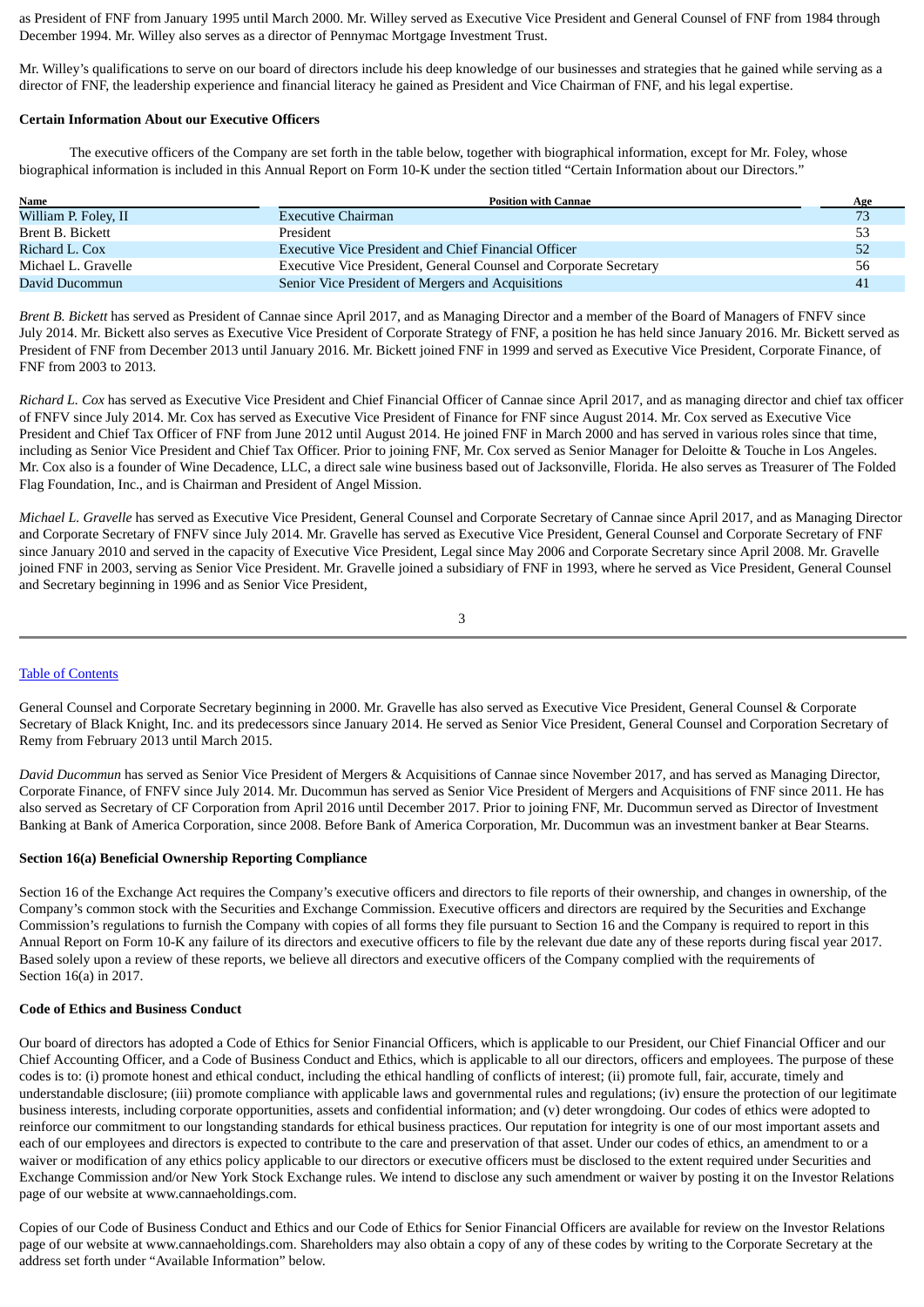as President of FNF from January 1995 until March 2000. Mr. Willey served as Executive Vice President and General Counsel of FNF from 1984 through December 1994. Mr. Willey also serves as a director of Pennymac Mortgage Investment Trust.

Mr. Willey's qualifications to serve on our board of directors include his deep knowledge of our businesses and strategies that he gained while serving as a director of FNF, the leadership experience and financial literacy he gained as President and Vice Chairman of FNF, and his legal expertise.

## **Certain Information About our Executive Officers**

The executive officers of the Company are set forth in the table below, together with biographical information, except for Mr. Foley, whose biographical information is included in this Annual Report on Form 10-K under the section titled "Certain Information about our Directors."

| Name<br><b>Position with Cannae</b> |                                                                   |    |  |  |  |
|-------------------------------------|-------------------------------------------------------------------|----|--|--|--|
| William P. Foley, II                | <b>Executive Chairman</b>                                         | 73 |  |  |  |
| Brent B. Bickett                    | President                                                         | 53 |  |  |  |
| Richard L. Cox                      | <b>Executive Vice President and Chief Financial Officer</b>       | 52 |  |  |  |
| Michael L. Gravelle                 | Executive Vice President, General Counsel and Corporate Secretary | 56 |  |  |  |
| David Ducommun                      | Senior Vice President of Mergers and Acquisitions                 | 41 |  |  |  |

*Brent B. Bickett* has served as President of Cannae since April 2017, and as Managing Director and a member of the Board of Managers of FNFV since July 2014. Mr. Bickett also serves as Executive Vice President of Corporate Strategy of FNF, a position he has held since January 2016. Mr. Bickett served as President of FNF from December 2013 until January 2016. Mr. Bickett joined FNF in 1999 and served as Executive Vice President, Corporate Finance, of FNF from 2003 to 2013.

*Richard L. Cox* has served as Executive Vice President and Chief Financial Officer of Cannae since April 2017, and as managing director and chief tax officer of FNFV since July 2014. Mr. Cox has served as Executive Vice President of Finance for FNF since August 2014. Mr. Cox served as Executive Vice President and Chief Tax Officer of FNF from June 2012 until August 2014. He joined FNF in March 2000 and has served in various roles since that time, including as Senior Vice President and Chief Tax Officer. Prior to joining FNF, Mr. Cox served as Senior Manager for Deloitte & Touche in Los Angeles. Mr. Cox also is a founder of Wine Decadence, LLC, a direct sale wine business based out of Jacksonville, Florida. He also serves as Treasurer of The Folded Flag Foundation, Inc., and is Chairman and President of Angel Mission.

*Michael L. Gravelle* has served as Executive Vice President, General Counsel and Corporate Secretary of Cannae since April 2017, and as Managing Director and Corporate Secretary of FNFV since July 2014. Mr. Gravelle has served as Executive Vice President, General Counsel and Corporate Secretary of FNF since January 2010 and served in the capacity of Executive Vice President, Legal since May 2006 and Corporate Secretary since April 2008. Mr. Gravelle joined FNF in 2003, serving as Senior Vice President. Mr. Gravelle joined a subsidiary of FNF in 1993, where he served as Vice President, General Counsel and Secretary beginning in 1996 and as Senior Vice President,

```
3
```
## Table of [Contents](#page-1-0)

General Counsel and Corporate Secretary beginning in 2000. Mr. Gravelle has also served as Executive Vice President, General Counsel & Corporate Secretary of Black Knight, Inc. and its predecessors since January 2014. He served as Senior Vice President, General Counsel and Corporation Secretary of Remy from February 2013 until March 2015.

*David Ducommun* has served as Senior Vice President of Mergers & Acquisitions of Cannae since November 2017, and has served as Managing Director, Corporate Finance, of FNFV since July 2014. Mr. Ducommun has served as Senior Vice President of Mergers and Acquisitions of FNF since 2011. He has also served as Secretary of CF Corporation from April 2016 until December 2017. Prior to joining FNF, Mr. Ducommun served as Director of Investment Banking at Bank of America Corporation, since 2008. Before Bank of America Corporation, Mr. Ducommun was an investment banker at Bear Stearns.

## **Section 16(a) Beneficial Ownership Reporting Compliance**

Section 16 of the Exchange Act requires the Company's executive officers and directors to file reports of their ownership, and changes in ownership, of the Company's common stock with the Securities and Exchange Commission. Executive officers and directors are required by the Securities and Exchange Commission's regulations to furnish the Company with copies of all forms they file pursuant to Section 16 and the Company is required to report in this Annual Report on Form 10-K any failure of its directors and executive officers to file by the relevant due date any of these reports during fiscal year 2017. Based solely upon a review of these reports, we believe all directors and executive officers of the Company complied with the requirements of Section 16(a) in 2017.

## **Code of Ethics and Business Conduct**

Our board of directors has adopted a Code of Ethics for Senior Financial Officers, which is applicable to our President, our Chief Financial Officer and our Chief Accounting Officer, and a Code of Business Conduct and Ethics, which is applicable to all our directors, officers and employees. The purpose of these codes is to: (i) promote honest and ethical conduct, including the ethical handling of conflicts of interest; (ii) promote full, fair, accurate, timely and understandable disclosure; (iii) promote compliance with applicable laws and governmental rules and regulations; (iv) ensure the protection of our legitimate business interests, including corporate opportunities, assets and confidential information; and (v) deter wrongdoing. Our codes of ethics were adopted to reinforce our commitment to our longstanding standards for ethical business practices. Our reputation for integrity is one of our most important assets and each of our employees and directors is expected to contribute to the care and preservation of that asset. Under our codes of ethics, an amendment to or a waiver or modification of any ethics policy applicable to our directors or executive officers must be disclosed to the extent required under Securities and Exchange Commission and/or New York Stock Exchange rules. We intend to disclose any such amendment or waiver by posting it on the Investor Relations page of our website at www.cannaeholdings.com.

Copies of our Code of Business Conduct and Ethics and our Code of Ethics for Senior Financial Officers are available for review on the Investor Relations page of our website at www.cannaeholdings.com. Shareholders may also obtain a copy of any of these codes by writing to the Corporate Secretary at the address set forth under "Available Information" below.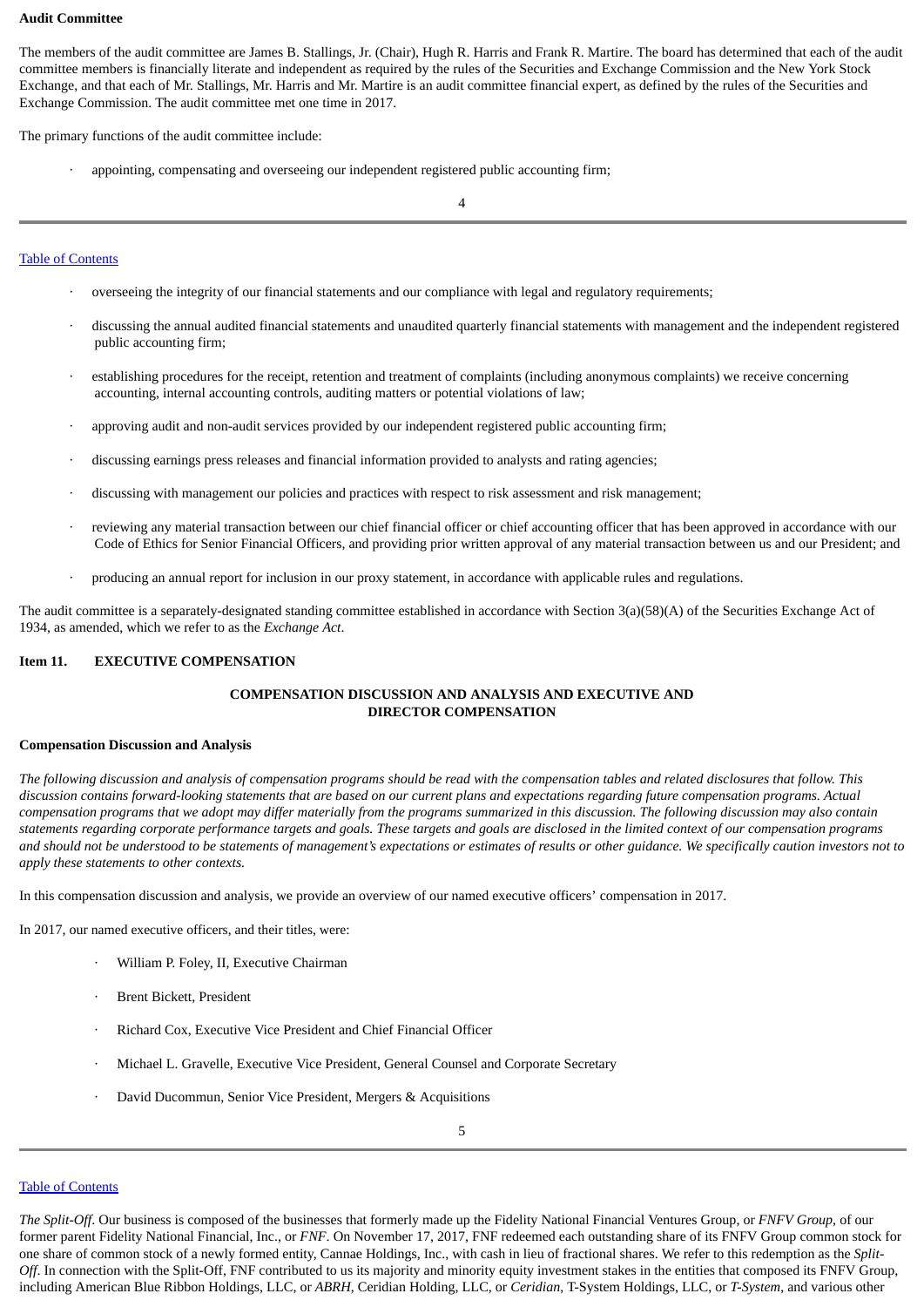## **Audit Committee**

The members of the audit committee are James B. Stallings, Jr. (Chair), Hugh R. Harris and Frank R. Martire. The board has determined that each of the audit committee members is financially literate and independent as required by the rules of the Securities and Exchange Commission and the New York Stock Exchange, and that each of Mr. Stallings, Mr. Harris and Mr. Martire is an audit committee financial expert, as defined by the rules of the Securities and Exchange Commission. The audit committee met one time in 2017.

The primary functions of the audit committee include:

· appointing, compensating and overseeing our independent registered public accounting firm;

4

## Table of [Contents](#page-1-0)

- · overseeing the integrity of our financial statements and our compliance with legal and regulatory requirements;
- · discussing the annual audited financial statements and unaudited quarterly financial statements with management and the independent registered public accounting firm;
- establishing procedures for the receipt, retention and treatment of complaints (including anonymous complaints) we receive concerning accounting, internal accounting controls, auditing matters or potential violations of law;
- · approving audit and non-audit services provided by our independent registered public accounting firm;
- discussing earnings press releases and financial information provided to analysts and rating agencies;
- discussing with management our policies and practices with respect to risk assessment and risk management;
- · reviewing any material transaction between our chief financial officer or chief accounting officer that has been approved in accordance with our Code of Ethics for Senior Financial Officers, and providing prior written approval of any material transaction between us and our President; and
- producing an annual report for inclusion in our proxy statement, in accordance with applicable rules and regulations.

The audit committee is a separately-designated standing committee established in accordance with Section 3(a)(58)(A) of the Securities Exchange Act of 1934, as amended, which we refer to as the *Exchange Act*.

## **Item 11. EXECUTIVE COMPENSATION**

## <span id="page-4-0"></span>**COMPENSATION DISCUSSION AND ANALYSIS AND EXECUTIVE AND DIRECTOR COMPENSATION**

#### **Compensation Discussion and Analysis**

The following discussion and analysis of compensation programs should be read with the compensation tables and related disclosures that follow. This discussion contains forward-looking statements that are based on our current plans and expectations regarding future compensation programs. Actual compensation programs that we adopt may differ materially from the programs summarized in this discussion. The following discussion may also contain statements regarding corporate performance targets and goals. These targets and goals are disclosed in the limited context of our compensation programs and should not be understood to be statements of management's expectations or estimates of results or other quidance. We specifically caution investors not to *apply these statements to other contexts.*

In this compensation discussion and analysis, we provide an overview of our named executive officers' compensation in 2017.

In 2017, our named executive officers, and their titles, were:

- · William P. Foley, II, Executive Chairman
- Brent Bickett, President
- · Richard Cox, Executive Vice President and Chief Financial Officer
- · Michael L. Gravelle, Executive Vice President, General Counsel and Corporate Secretary
- · David Ducommun, Senior Vice President, Mergers & Acquisitions

#### Table of [Contents](#page-1-0)

*The Split-Off*. Our business is composed of the businesses that formerly made up the Fidelity National Financial Ventures Group, or *FNFV Group*, of our former parent Fidelity National Financial, Inc., or *FNF*. On November 17, 2017, FNF redeemed each outstanding share of its FNFV Group common stock for one share of common stock of a newly formed entity, Cannae Holdings, Inc., with cash in lieu of fractional shares. We refer to this redemption as the *Split-Off*. In connection with the Split-Off, FNF contributed to us its majority and minority equity investment stakes in the entities that composed its FNFV Group, including American Blue Ribbon Holdings, LLC, or *ABRH*, Ceridian Holding, LLC, or *Ceridian*, T-System Holdings, LLC, or *T-System*, and various other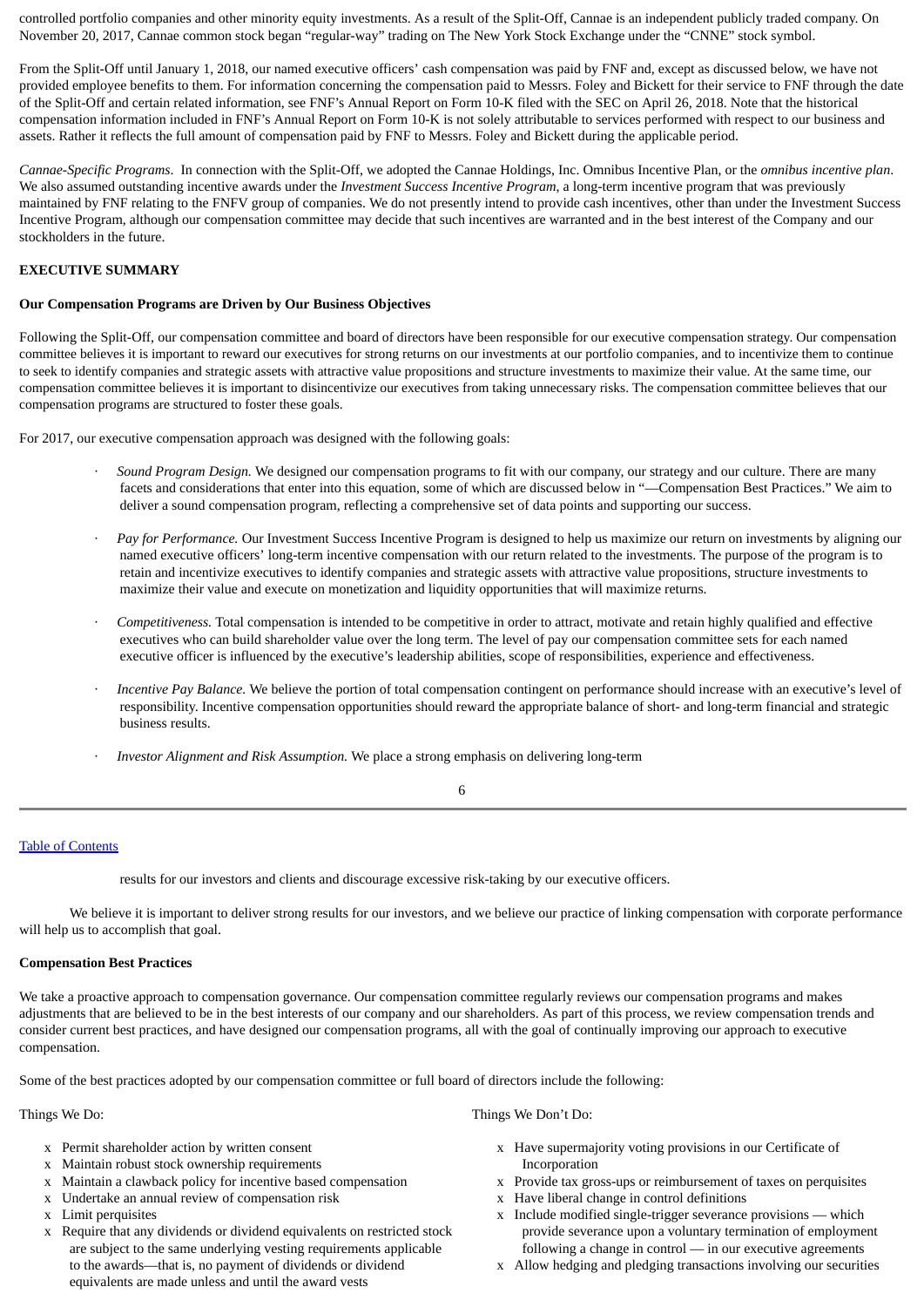controlled portfolio companies and other minority equity investments. As a result of the Split-Off, Cannae is an independent publicly traded company. On November 20, 2017, Cannae common stock began "regular-way" trading on The New York Stock Exchange under the "CNNE" stock symbol.

From the Split-Off until January 1, 2018, our named executive officers' cash compensation was paid by FNF and, except as discussed below, we have not provided employee benefits to them. For information concerning the compensation paid to Messrs. Foley and Bickett for their service to FNF through the date of the Split-Off and certain related information, see FNF's Annual Report on Form 10-K filed with the SEC on April 26, 2018. Note that the historical compensation information included in FNF's Annual Report on Form 10-K is not solely attributable to services performed with respect to our business and assets. Rather it reflects the full amount of compensation paid by FNF to Messrs. Foley and Bickett during the applicable period.

*Cannae-Specific Programs*. In connection with the Split-Off, we adopted the Cannae Holdings, Inc. Omnibus Incentive Plan, or the *omnibus incentive plan*. We also assumed outstanding incentive awards under the *Investment Success Incentive Program*, a long-term incentive program that was previously maintained by FNF relating to the FNFV group of companies. We do not presently intend to provide cash incentives, other than under the Investment Success Incentive Program, although our compensation committee may decide that such incentives are warranted and in the best interest of the Company and our stockholders in the future.

## **EXECUTIVE SUMMARY**

## **Our Compensation Programs are Driven by Our Business Objectives**

Following the Split-Off, our compensation committee and board of directors have been responsible for our executive compensation strategy. Our compensation committee believes it is important to reward our executives for strong returns on our investments at our portfolio companies, and to incentivize them to continue to seek to identify companies and strategic assets with attractive value propositions and structure investments to maximize their value. At the same time, our compensation committee believes it is important to disincentivize our executives from taking unnecessary risks. The compensation committee believes that our compensation programs are structured to foster these goals.

For 2017, our executive compensation approach was designed with the following goals:

- · *Sound Program Design.* We designed our compensation programs to fit with our company, our strategy and our culture. There are many facets and considerations that enter into this equation, some of which are discussed below in "—Compensation Best Practices." We aim to deliver a sound compensation program, reflecting a comprehensive set of data points and supporting our success.
- · *Pay for Performance.* Our Investment Success Incentive Program is designed to help us maximize our return on investments by aligning our named executive officers' long-term incentive compensation with our return related to the investments. The purpose of the program is to retain and incentivize executives to identify companies and strategic assets with attractive value propositions, structure investments to maximize their value and execute on monetization and liquidity opportunities that will maximize returns.
- · *Competitiveness.* Total compensation is intended to be competitive in order to attract, motivate and retain highly qualified and effective executives who can build shareholder value over the long term. The level of pay our compensation committee sets for each named executive officer is influenced by the executive's leadership abilities, scope of responsibilities, experience and effectiveness.
- · *Incentive Pay Balance.* We believe the portion of total compensation contingent on performance should increase with an executive's level of responsibility. Incentive compensation opportunities should reward the appropriate balance of short- and long-term financial and strategic business results.
- · *Investor Alignment and Risk Assumption.* We place a strong emphasis on delivering long-term

## 6

## Table of [Contents](#page-1-0)

results for our investors and clients and discourage excessive risk-taking by our executive officers.

We believe it is important to deliver strong results for our investors, and we believe our practice of linking compensation with corporate performance will help us to accomplish that goal.

## **Compensation Best Practices**

We take a proactive approach to compensation governance. Our compensation committee regularly reviews our compensation programs and makes adjustments that are believed to be in the best interests of our company and our shareholders. As part of this process, we review compensation trends and consider current best practices, and have designed our compensation programs, all with the goal of continually improving our approach to executive compensation.

Some of the best practices adopted by our compensation committee or full board of directors include the following:

- x Permit shareholder action by written consent
- x Maintain robust stock ownership requirements
- x Maintain a clawback policy for incentive based compensation
- x Undertake an annual review of compensation risk
- x Limit perquisites
- x Require that any dividends or dividend equivalents on restricted stock are subject to the same underlying vesting requirements applicable to the awards—that is, no payment of dividends or dividend equivalents are made unless and until the award vests

Things We Do: Things We Do: Things We Do: Things We Do: Things We Do: Things We Do:

- x Have supermajority voting provisions in our Certificate of Incorporation
- x Provide tax gross-ups or reimbursement of taxes on perquisites
- x Have liberal change in control definitions
- x Include modified single-trigger severance provisions which provide severance upon a voluntary termination of employment following a change in control — in our executive agreements
- x Allow hedging and pledging transactions involving our securities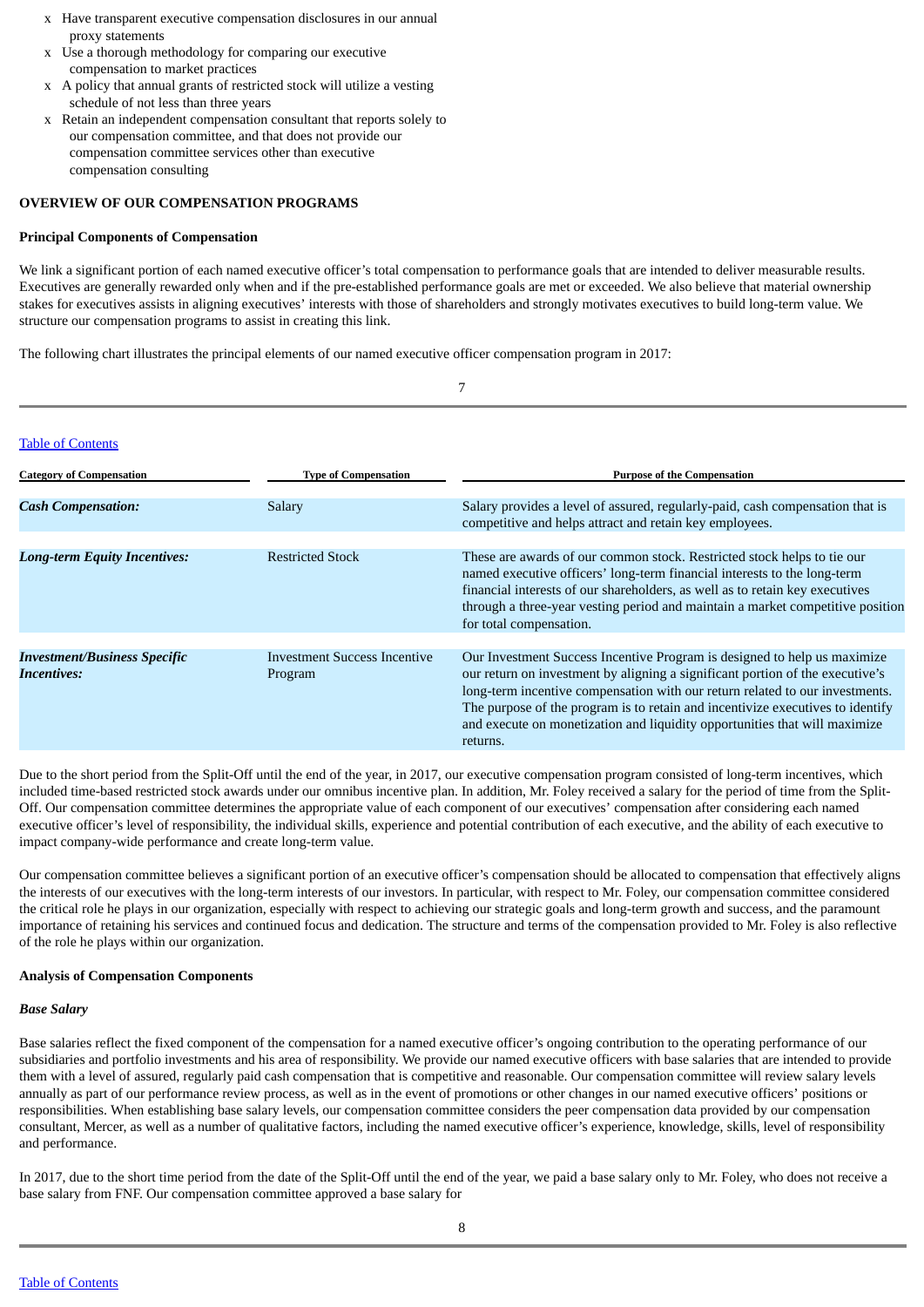- x Have transparent executive compensation disclosures in our annual proxy statements
- x Use a thorough methodology for comparing our executive compensation to market practices
- x A policy that annual grants of restricted stock will utilize a vesting schedule of not less than three years
- x Retain an independent compensation consultant that reports solely to our compensation committee, and that does not provide our compensation committee services other than executive compensation consulting

## **OVERVIEW OF OUR COMPENSATION PROGRAMS**

## **Principal Components of Compensation**

We link a significant portion of each named executive officer's total compensation to performance goals that are intended to deliver measurable results. Executives are generally rewarded only when and if the pre-established performance goals are met or exceeded. We also believe that material ownership stakes for executives assists in aligning executives' interests with those of shareholders and strongly motivates executives to build long-term value. We structure our compensation programs to assist in creating this link.

The following chart illustrates the principal elements of our named executive officer compensation program in 2017:

|                                                           |                                                | 7                                                                                                                                                                                                                                                                                                                                                                                                                     |
|-----------------------------------------------------------|------------------------------------------------|-----------------------------------------------------------------------------------------------------------------------------------------------------------------------------------------------------------------------------------------------------------------------------------------------------------------------------------------------------------------------------------------------------------------------|
| <b>Table of Contents</b>                                  |                                                |                                                                                                                                                                                                                                                                                                                                                                                                                       |
| <b>Category of Compensation</b>                           | <b>Type of Compensation</b>                    | <b>Purpose of the Compensation</b>                                                                                                                                                                                                                                                                                                                                                                                    |
| <b>Cash Compensation:</b>                                 | Salary                                         | Salary provides a level of assured, regularly-paid, cash compensation that is<br>competitive and helps attract and retain key employees.                                                                                                                                                                                                                                                                              |
| <b>Long-term Equity Incentives:</b>                       | <b>Restricted Stock</b>                        | These are awards of our common stock. Restricted stock helps to tie our<br>named executive officers' long-term financial interests to the long-term<br>financial interests of our shareholders, as well as to retain key executives<br>through a three-year vesting period and maintain a market competitive position<br>for total compensation.                                                                      |
| <b>Investment/Business Specific</b><br><b>Incentives:</b> | <b>Investment Success Incentive</b><br>Program | Our Investment Success Incentive Program is designed to help us maximize<br>our return on investment by aligning a significant portion of the executive's<br>long-term incentive compensation with our return related to our investments.<br>The purpose of the program is to retain and incentivize executives to identify<br>and execute on monetization and liquidity opportunities that will maximize<br>returns. |

Due to the short period from the Split-Off until the end of the year, in 2017, our executive compensation program consisted of long-term incentives, which included time-based restricted stock awards under our omnibus incentive plan. In addition, Mr. Foley received a salary for the period of time from the Split-Off. Our compensation committee determines the appropriate value of each component of our executives' compensation after considering each named executive officer's level of responsibility, the individual skills, experience and potential contribution of each executive, and the ability of each executive to impact company-wide performance and create long-term value.

Our compensation committee believes a significant portion of an executive officer's compensation should be allocated to compensation that effectively aligns the interests of our executives with the long-term interests of our investors. In particular, with respect to Mr. Foley, our compensation committee considered the critical role he plays in our organization, especially with respect to achieving our strategic goals and long-term growth and success, and the paramount importance of retaining his services and continued focus and dedication. The structure and terms of the compensation provided to Mr. Foley is also reflective of the role he plays within our organization.

## **Analysis of Compensation Components**

## *Base Salary*

Base salaries reflect the fixed component of the compensation for a named executive officer's ongoing contribution to the operating performance of our subsidiaries and portfolio investments and his area of responsibility. We provide our named executive officers with base salaries that are intended to provide them with a level of assured, regularly paid cash compensation that is competitive and reasonable. Our compensation committee will review salary levels annually as part of our performance review process, as well as in the event of promotions or other changes in our named executive officers' positions or responsibilities. When establishing base salary levels, our compensation committee considers the peer compensation data provided by our compensation consultant, Mercer, as well as a number of qualitative factors, including the named executive officer's experience, knowledge, skills, level of responsibility and performance.

In 2017, due to the short time period from the date of the Split-Off until the end of the year, we paid a base salary only to Mr. Foley, who does not receive a base salary from FNF. Our compensation committee approved a base salary for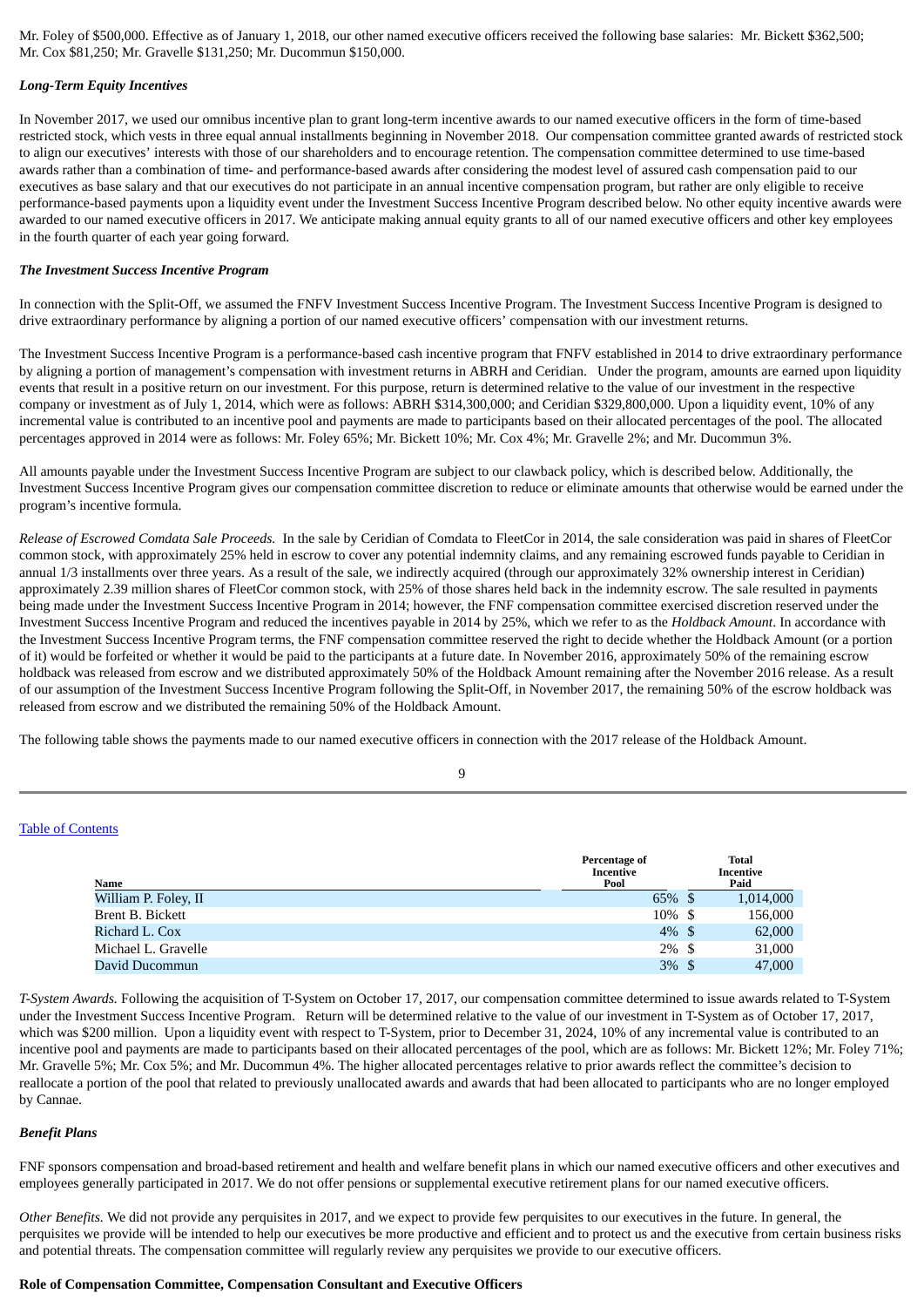Mr. Foley of \$500,000. Effective as of January 1, 2018, our other named executive officers received the following base salaries: Mr. Bickett \$362,500; Mr. Cox \$81,250; Mr. Gravelle \$131,250; Mr. Ducommun \$150,000.

## *Long-Term Equity Incentives*

In November 2017, we used our omnibus incentive plan to grant long-term incentive awards to our named executive officers in the form of time-based restricted stock, which vests in three equal annual installments beginning in November 2018. Our compensation committee granted awards of restricted stock to align our executives' interests with those of our shareholders and to encourage retention. The compensation committee determined to use time-based awards rather than a combination of time- and performance-based awards after considering the modest level of assured cash compensation paid to our executives as base salary and that our executives do not participate in an annual incentive compensation program, but rather are only eligible to receive performance-based payments upon a liquidity event under the Investment Success Incentive Program described below. No other equity incentive awards were awarded to our named executive officers in 2017. We anticipate making annual equity grants to all of our named executive officers and other key employees in the fourth quarter of each year going forward.

#### *The Investment Success Incentive Program*

In connection with the Split-Off, we assumed the FNFV Investment Success Incentive Program. The Investment Success Incentive Program is designed to drive extraordinary performance by aligning a portion of our named executive officers' compensation with our investment returns.

The Investment Success Incentive Program is a performance-based cash incentive program that FNFV established in 2014 to drive extraordinary performance by aligning a portion of management's compensation with investment returns in ABRH and Ceridian. Under the program, amounts are earned upon liquidity events that result in a positive return on our investment. For this purpose, return is determined relative to the value of our investment in the respective company or investment as of July 1, 2014, which were as follows: ABRH \$314,300,000; and Ceridian \$329,800,000. Upon a liquidity event, 10% of any incremental value is contributed to an incentive pool and payments are made to participants based on their allocated percentages of the pool. The allocated percentages approved in 2014 were as follows: Mr. Foley 65%; Mr. Bickett 10%; Mr. Cox 4%; Mr. Gravelle 2%; and Mr. Ducommun 3%.

All amounts payable under the Investment Success Incentive Program are subject to our clawback policy, which is described below. Additionally, the Investment Success Incentive Program gives our compensation committee discretion to reduce or eliminate amounts that otherwise would be earned under the program's incentive formula.

*Release of Escrowed Comdata Sale Proceeds.* In the sale by Ceridian of Comdata to FleetCor in 2014, the sale consideration was paid in shares of FleetCor common stock, with approximately 25% held in escrow to cover any potential indemnity claims, and any remaining escrowed funds payable to Ceridian in annual 1/3 installments over three years. As a result of the sale, we indirectly acquired (through our approximately 32% ownership interest in Ceridian) approximately 2.39 million shares of FleetCor common stock, with 25% of those shares held back in the indemnity escrow. The sale resulted in payments being made under the Investment Success Incentive Program in 2014; however, the FNF compensation committee exercised discretion reserved under the Investment Success Incentive Program and reduced the incentives payable in 2014 by 25%, which we refer to as the *Holdback Amount*. In accordance with the Investment Success Incentive Program terms, the FNF compensation committee reserved the right to decide whether the Holdback Amount (or a portion of it) would be forfeited or whether it would be paid to the participants at a future date. In November 2016, approximately 50% of the remaining escrow holdback was released from escrow and we distributed approximately 50% of the Holdback Amount remaining after the November 2016 release. As a result of our assumption of the Investment Success Incentive Program following the Split-Off, in November 2017, the remaining 50% of the escrow holdback was released from escrow and we distributed the remaining 50% of the Holdback Amount.

The following table shows the payments made to our named executive officers in connection with the 2017 release of the Holdback Amount.

|   | I |    |  |
|---|---|----|--|
| ć |   | ٠  |  |
| × | v | ۰. |  |

## Table of [Contents](#page-1-0)

| Name                 | Percentage of<br>Incentive<br>Pool | <b>Total</b><br>Incentive<br>Paid |         |
|----------------------|------------------------------------|-----------------------------------|---------|
| William P. Foley, II | 65% \$                             | 1,014,000                         |         |
| Brent B. Bickett     | $10\%$ \$                          |                                   | 156,000 |
| Richard L. Cox       | $4\%$ \$                           |                                   | 62,000  |
| Michael L. Gravelle  | $2\%$ \$                           |                                   | 31,000  |
| David Ducommun       | $3\%$ \$                           |                                   | 47,000  |

*T-System Awards.* Following the acquisition of T-System on October 17, 2017, our compensation committee determined to issue awards related to T-System under the Investment Success Incentive Program. Return will be determined relative to the value of our investment in T-System as of October 17, 2017, which was \$200 million. Upon a liquidity event with respect to T-System, prior to December 31, 2024, 10% of any incremental value is contributed to an incentive pool and payments are made to participants based on their allocated percentages of the pool, which are as follows: Mr. Bickett 12%; Mr. Foley 71%; Mr. Gravelle 5%; Mr. Cox 5%; and Mr. Ducommun 4%. The higher allocated percentages relative to prior awards reflect the committee's decision to reallocate a portion of the pool that related to previously unallocated awards and awards that had been allocated to participants who are no longer employed by Cannae.

## *Benefit Plans*

FNF sponsors compensation and broad-based retirement and health and welfare benefit plans in which our named executive officers and other executives and employees generally participated in 2017. We do not offer pensions or supplemental executive retirement plans for our named executive officers.

*Other Benefits.* We did not provide any perquisites in 2017, and we expect to provide few perquisites to our executives in the future. In general, the perquisites we provide will be intended to help our executives be more productive and efficient and to protect us and the executive from certain business risks and potential threats. The compensation committee will regularly review any perquisites we provide to our executive officers.

#### **Role of Compensation Committee, Compensation Consultant and Executive Officers**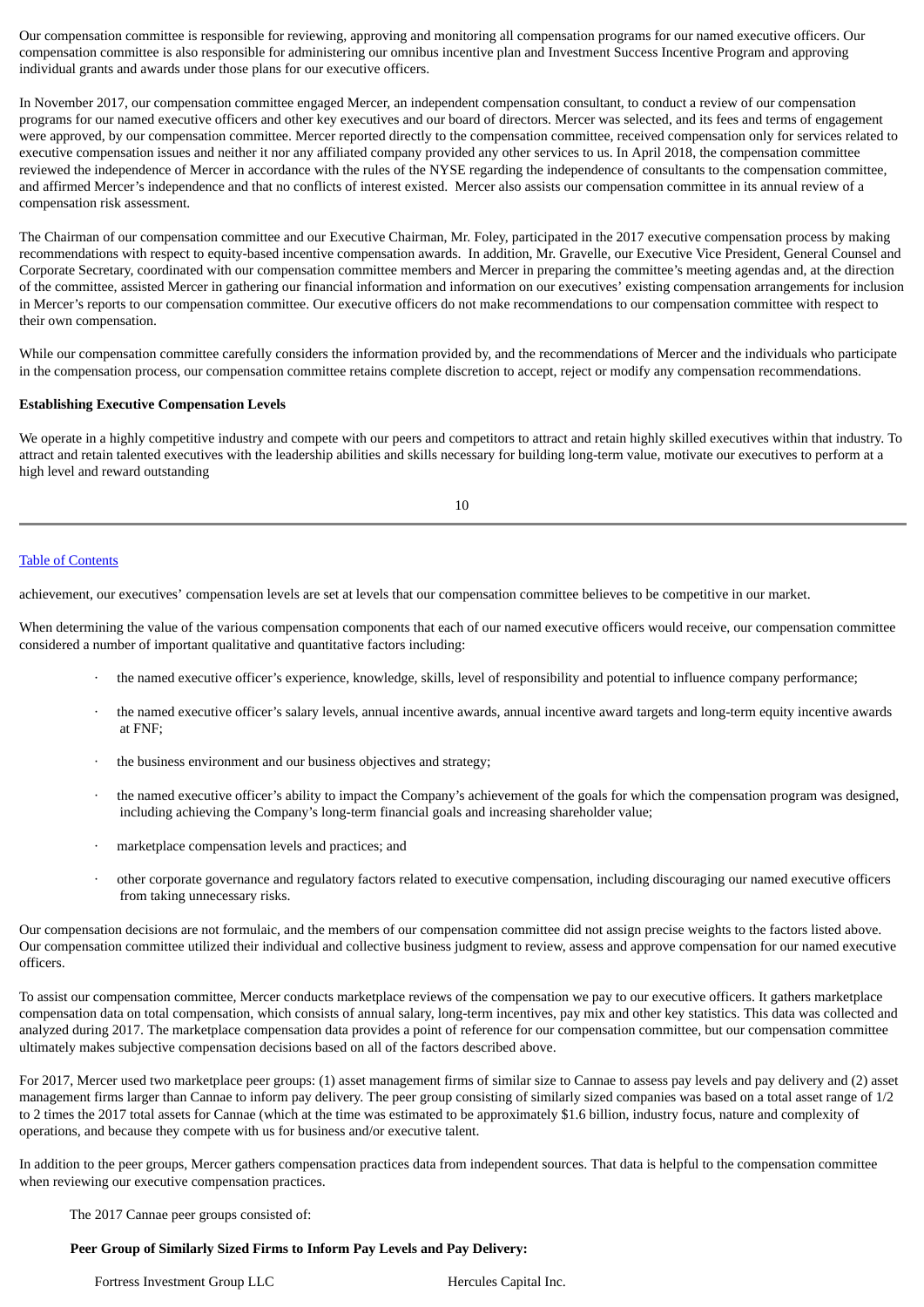Our compensation committee is responsible for reviewing, approving and monitoring all compensation programs for our named executive officers. Our compensation committee is also responsible for administering our omnibus incentive plan and Investment Success Incentive Program and approving individual grants and awards under those plans for our executive officers.

In November 2017, our compensation committee engaged Mercer, an independent compensation consultant, to conduct a review of our compensation programs for our named executive officers and other key executives and our board of directors. Mercer was selected, and its fees and terms of engagement were approved, by our compensation committee. Mercer reported directly to the compensation committee, received compensation only for services related to executive compensation issues and neither it nor any affiliated company provided any other services to us. In April 2018, the compensation committee reviewed the independence of Mercer in accordance with the rules of the NYSE regarding the independence of consultants to the compensation committee, and affirmed Mercer's independence and that no conflicts of interest existed. Mercer also assists our compensation committee in its annual review of a compensation risk assessment.

The Chairman of our compensation committee and our Executive Chairman, Mr. Foley, participated in the 2017 executive compensation process by making recommendations with respect to equity-based incentive compensation awards. In addition, Mr. Gravelle, our Executive Vice President, General Counsel and Corporate Secretary, coordinated with our compensation committee members and Mercer in preparing the committee's meeting agendas and, at the direction of the committee, assisted Mercer in gathering our financial information and information on our executives' existing compensation arrangements for inclusion in Mercer's reports to our compensation committee. Our executive officers do not make recommendations to our compensation committee with respect to their own compensation.

While our compensation committee carefully considers the information provided by, and the recommendations of Mercer and the individuals who participate in the compensation process, our compensation committee retains complete discretion to accept, reject or modify any compensation recommendations.

## **Establishing Executive Compensation Levels**

We operate in a highly competitive industry and compete with our peers and competitors to attract and retain highly skilled executives within that industry. To attract and retain talented executives with the leadership abilities and skills necessary for building long-term value, motivate our executives to perform at a high level and reward outstanding

10

## Table of [Contents](#page-1-0)

achievement, our executives' compensation levels are set at levels that our compensation committee believes to be competitive in our market.

When determining the value of the various compensation components that each of our named executive officers would receive, our compensation committee considered a number of important qualitative and quantitative factors including:

- · the named executive officer's experience, knowledge, skills, level of responsibility and potential to influence company performance;
- · the named executive officer's salary levels, annual incentive awards, annual incentive award targets and long-term equity incentive awards at FNF;
- the business environment and our business objectives and strategy;
- · the named executive officer's ability to impact the Company's achievement of the goals for which the compensation program was designed, including achieving the Company's long-term financial goals and increasing shareholder value;
- marketplace compensation levels and practices; and
- · other corporate governance and regulatory factors related to executive compensation, including discouraging our named executive officers from taking unnecessary risks.

Our compensation decisions are not formulaic, and the members of our compensation committee did not assign precise weights to the factors listed above. Our compensation committee utilized their individual and collective business judgment to review, assess and approve compensation for our named executive officers.

To assist our compensation committee, Mercer conducts marketplace reviews of the compensation we pay to our executive officers. It gathers marketplace compensation data on total compensation, which consists of annual salary, long-term incentives, pay mix and other key statistics. This data was collected and analyzed during 2017. The marketplace compensation data provides a point of reference for our compensation committee, but our compensation committee ultimately makes subjective compensation decisions based on all of the factors described above.

For 2017, Mercer used two marketplace peer groups: (1) asset management firms of similar size to Cannae to assess pay levels and pay delivery and (2) asset management firms larger than Cannae to inform pay delivery. The peer group consisting of similarly sized companies was based on a total asset range of 1/2 to 2 times the 2017 total assets for Cannae (which at the time was estimated to be approximately \$1.6 billion, industry focus, nature and complexity of operations, and because they compete with us for business and/or executive talent.

In addition to the peer groups, Mercer gathers compensation practices data from independent sources. That data is helpful to the compensation committee when reviewing our executive compensation practices.

The 2017 Cannae peer groups consisted of:

## **Peer Group of Similarly Sized Firms to Inform Pay Levels and Pay Delivery:**

Fortress Investment Group LLC Hercules Capital Inc.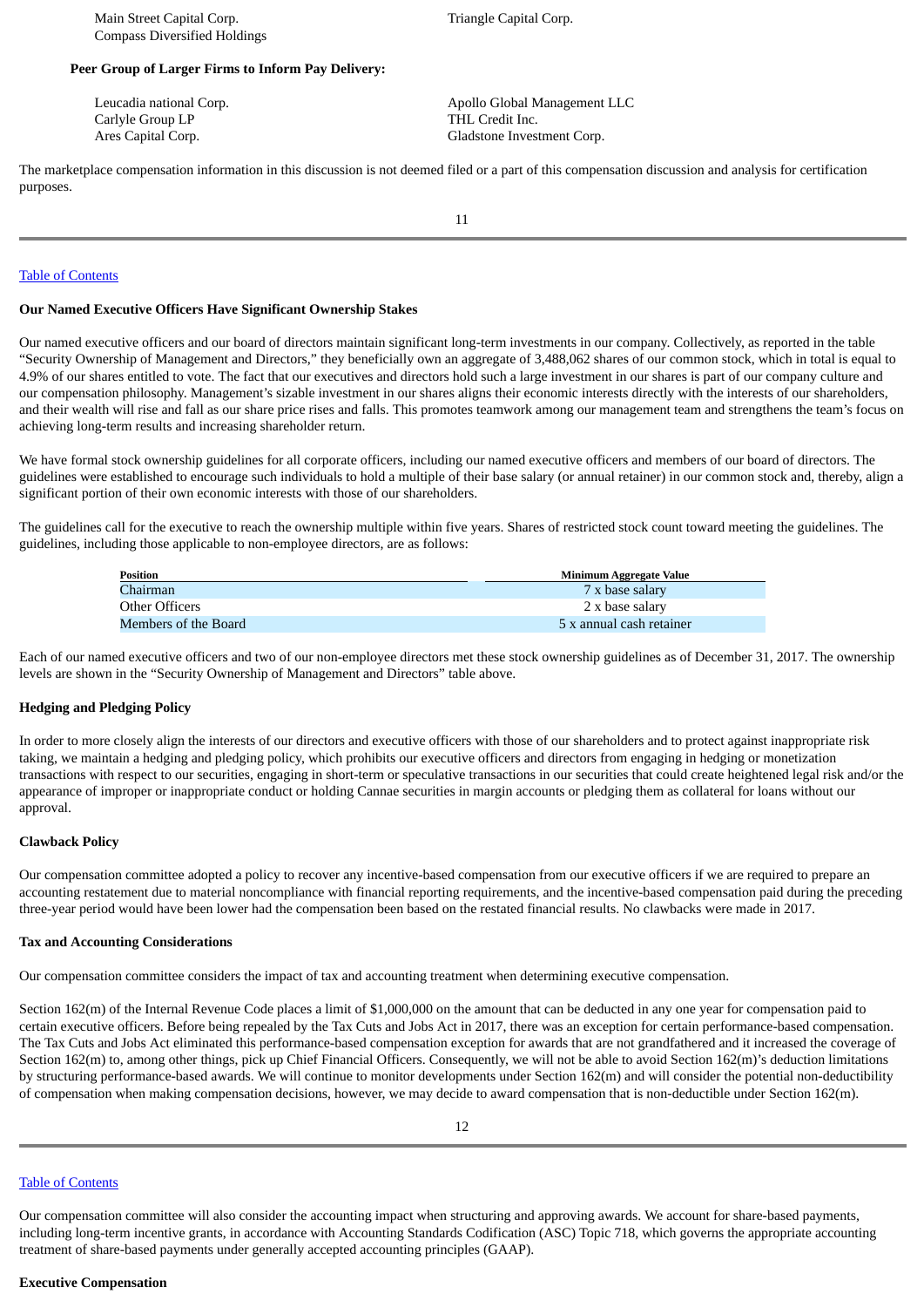## **Peer Group of Larger Firms to Inform Pay Delivery:**

Carlyle Group LP THL Credit Inc.

Leucadia national Corp.  $\qquad \qquad \qquad$  Apollo Global Management LLC Ares Capital Corp. **Gladstone Investment Corp. Gladstone Investment Corp.** 

The marketplace compensation information in this discussion is not deemed filed or a part of this compensation discussion and analysis for certification purposes.

11

#### Table of [Contents](#page-1-0)

#### **Our Named Executive Officers Have Significant Ownership Stakes**

Our named executive officers and our board of directors maintain significant long-term investments in our company. Collectively, as reported in the table "Security Ownership of Management and Directors," they beneficially own an aggregate of 3,488,062 shares of our common stock, which in total is equal to 4.9% of our shares entitled to vote. The fact that our executives and directors hold such a large investment in our shares is part of our company culture and our compensation philosophy. Management's sizable investment in our shares aligns their economic interests directly with the interests of our shareholders, and their wealth will rise and fall as our share price rises and falls. This promotes teamwork among our management team and strengthens the team's focus on achieving long-term results and increasing shareholder return.

We have formal stock ownership guidelines for all corporate officers, including our named executive officers and members of our board of directors. The guidelines were established to encourage such individuals to hold a multiple of their base salary (or annual retainer) in our common stock and, thereby, align a significant portion of their own economic interests with those of our shareholders.

The guidelines call for the executive to reach the ownership multiple within five years. Shares of restricted stock count toward meeting the guidelines. The guidelines, including those applicable to non-employee directors, are as follows:

| Position             | Minimum Aggregate Value  |
|----------------------|--------------------------|
| Chairman             | 7 x base salary          |
| Other Officers       | 2 x base salary          |
| Members of the Board | 5 x annual cash retainer |

Each of our named executive officers and two of our non-employee directors met these stock ownership guidelines as of December 31, 2017. The ownership levels are shown in the "Security Ownership of Management and Directors" table above.

## **Hedging and Pledging Policy**

In order to more closely align the interests of our directors and executive officers with those of our shareholders and to protect against inappropriate risk taking, we maintain a hedging and pledging policy, which prohibits our executive officers and directors from engaging in hedging or monetization transactions with respect to our securities, engaging in short-term or speculative transactions in our securities that could create heightened legal risk and/or the appearance of improper or inappropriate conduct or holding Cannae securities in margin accounts or pledging them as collateral for loans without our approval.

#### **Clawback Policy**

Our compensation committee adopted a policy to recover any incentive-based compensation from our executive officers if we are required to prepare an accounting restatement due to material noncompliance with financial reporting requirements, and the incentive-based compensation paid during the preceding three-year period would have been lower had the compensation been based on the restated financial results. No clawbacks were made in 2017.

#### **Tax and Accounting Considerations**

Our compensation committee considers the impact of tax and accounting treatment when determining executive compensation.

Section 162(m) of the Internal Revenue Code places a limit of \$1,000,000 on the amount that can be deducted in any one year for compensation paid to certain executive officers. Before being repealed by the Tax Cuts and Jobs Act in 2017, there was an exception for certain performance-based compensation. The Tax Cuts and Jobs Act eliminated this performance-based compensation exception for awards that are not grandfathered and it increased the coverage of Section 162(m) to, among other things, pick up Chief Financial Officers. Consequently, we will not be able to avoid Section 162(m)'s deduction limitations by structuring performance-based awards. We will continue to monitor developments under Section 162(m) and will consider the potential non-deductibility of compensation when making compensation decisions, however, we may decide to award compensation that is non-deductible under Section 162(m).

## Table of [Contents](#page-1-0)

Our compensation committee will also consider the accounting impact when structuring and approving awards. We account for share-based payments, including long-term incentive grants, in accordance with Accounting Standards Codification (ASC) Topic 718, which governs the appropriate accounting treatment of share-based payments under generally accepted accounting principles (GAAP).

#### **Executive Compensation**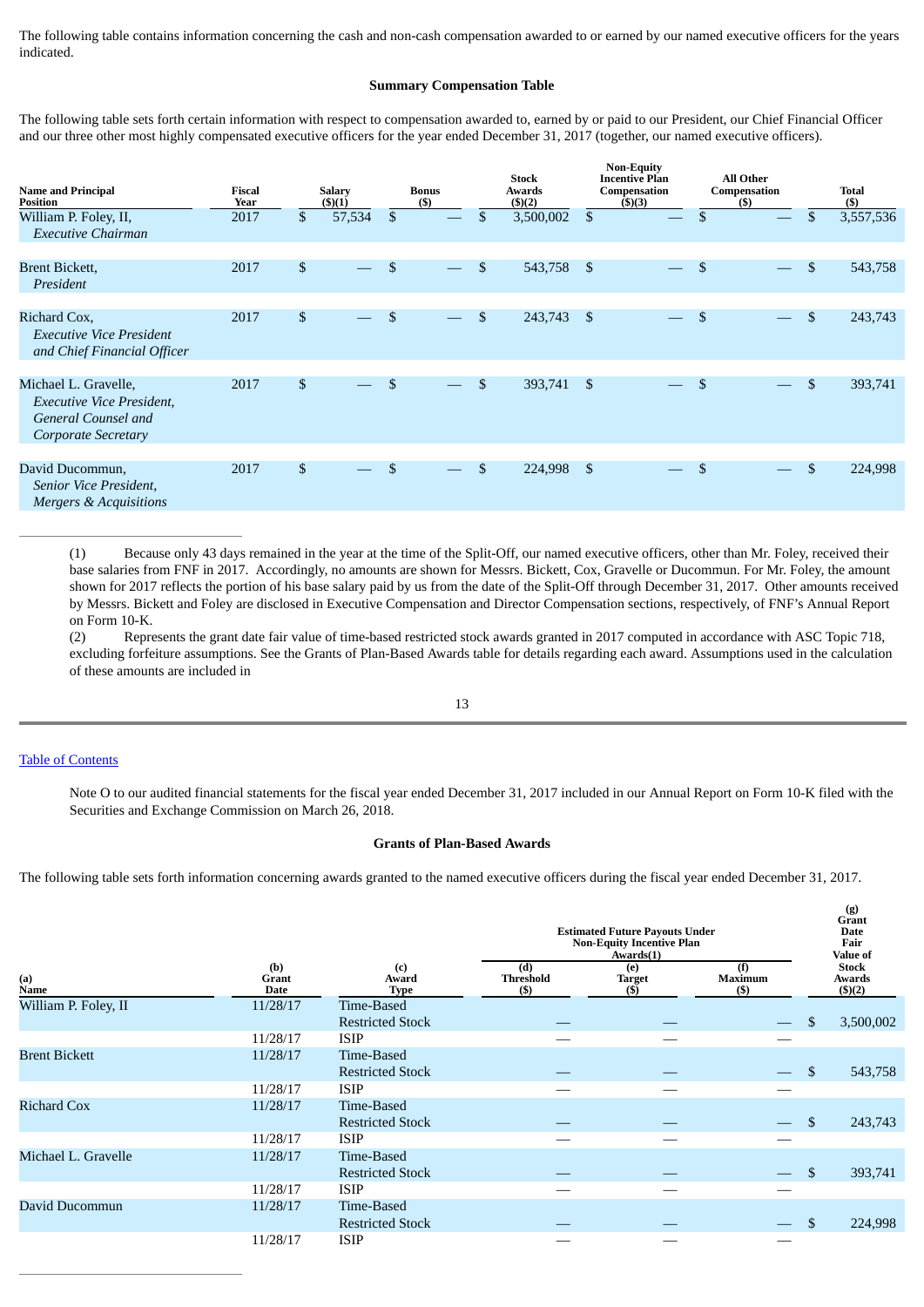The following table contains information concerning the cash and non-cash compensation awarded to or earned by our named executive officers for the years indicated.

#### **Summary Compensation Table**

The following table sets forth certain information with respect to compensation awarded to, earned by or paid to our President, our Chief Financial Officer and our three other most highly compensated executive officers for the year ended December 31, 2017 (together, our named executive officers).

| <b>Name and Principal</b><br><b>Position</b>                                                                  | Fiscal<br>Year | <b>Salary</b><br>(5)(1) |                | <b>Bonus</b><br>(S)      |              | <b>Stock</b><br>Awards<br>(5)(2) |                | <b>Non-Equity</b><br><b>Incentive Plan</b><br>Compensation<br>$($ \$ $)(3)$ |                | All Other<br>Compensation<br>(S) | <b>Total</b><br>$($ \$ |
|---------------------------------------------------------------------------------------------------------------|----------------|-------------------------|----------------|--------------------------|--------------|----------------------------------|----------------|-----------------------------------------------------------------------------|----------------|----------------------------------|------------------------|
| William P. Foley, II,<br><b>Executive Chairman</b>                                                            | 2017           | \$<br>57,534            | $\mathfrak{S}$ |                          | \$           | 3,500,002                        | \$             |                                                                             | \$             |                                  | \$<br>3,557,536        |
| <b>Brent Bickett,</b><br>President                                                                            | 2017           | \$                      | \$             |                          | \$           | 543,758                          | $\mathfrak{S}$ |                                                                             | \$             |                                  | \$<br>543,758          |
| Richard Cox,<br>Executive Vice President<br>and Chief Financial Officer                                       | 2017           | \$                      | \$             |                          | $\mathbb{S}$ | 243,743                          | -\$            |                                                                             | $\mathfrak{s}$ |                                  | \$<br>243,743          |
| Michael L. Gravelle,<br><b>Executive Vice President,</b><br><b>General Counsel and</b><br>Corporate Secretary | 2017           | \$                      | \$             | $\overline{\phantom{a}}$ | $\mathbb{S}$ | 393,741                          | - \$           | $\frac{1}{2}$                                                               | \$             |                                  | \$<br>393,741          |
| David Ducommun,<br>Senior Vice President,<br>Mergers & Acquisitions                                           | 2017           | \$                      | \$             | $\overline{\phantom{m}}$ | \$           | 224,998                          | \$             |                                                                             | \$             |                                  | \$<br>224,998          |

(1) Because only 43 days remained in the year at the time of the Split-Off, our named executive officers, other than Mr. Foley, received their base salaries from FNF in 2017. Accordingly, no amounts are shown for Messrs. Bickett, Cox, Gravelle or Ducommun. For Mr. Foley, the amount shown for 2017 reflects the portion of his base salary paid by us from the date of the Split-Off through December 31, 2017. Other amounts received by Messrs. Bickett and Foley are disclosed in Executive Compensation and Director Compensation sections, respectively, of FNF's Annual Report on Form 10-K.

(2) Represents the grant date fair value of time-based restricted stock awards granted in 2017 computed in accordance with ASC Topic 718, excluding forfeiture assumptions. See the Grants of Plan-Based Awards table for details regarding each award. Assumptions used in the calculation of these amounts are included in

#### Table of [Contents](#page-1-0)

Note O to our audited financial statements for the fiscal year ended December 31, 2017 included in our Annual Report on Form 10-K filed with the Securities and Exchange Commission on March 26, 2018.

**(g)**

#### **Grants of Plan-Based Awards**

The following table sets forth information concerning awards granted to the named executive officers during the fiscal year ended December 31, 2017.

|                      |                             |                             | <b>Estimated Future Payouts Under</b><br><b>Non-Equity Incentive Plan</b> |                                | Grant<br><b>Date</b><br>Fair<br>Value of |     |                                  |
|----------------------|-----------------------------|-----------------------------|---------------------------------------------------------------------------|--------------------------------|------------------------------------------|-----|----------------------------------|
| (a)<br>Name          | (b)<br>Grant<br><b>Date</b> | (c)<br>Award<br><b>Type</b> | (d)<br><b>Threshold</b><br>$($ \$)                                        | (e)<br><b>Target</b><br>$($ \$ | (f)<br><b>Maximum</b><br>(S)             |     | <b>Stock</b><br>Awards<br>(5)(2) |
| William P. Foley, II | 11/28/17                    | Time-Based                  |                                                                           |                                |                                          |     |                                  |
|                      |                             | <b>Restricted Stock</b>     |                                                                           |                                |                                          | \$  | 3,500,002                        |
|                      | 11/28/17                    | <b>ISIP</b>                 |                                                                           |                                |                                          |     |                                  |
| <b>Brent Bickett</b> | 11/28/17                    | Time-Based                  |                                                                           |                                |                                          |     |                                  |
|                      |                             | <b>Restricted Stock</b>     |                                                                           |                                |                                          | \$  | 543,758                          |
|                      | 11/28/17                    | <b>ISIP</b>                 |                                                                           |                                |                                          |     |                                  |
| <b>Richard Cox</b>   | 11/28/17                    | Time-Based                  |                                                                           |                                |                                          |     |                                  |
|                      |                             | <b>Restricted Stock</b>     |                                                                           |                                |                                          | \$  | 243,743                          |
|                      | 11/28/17                    | <b>ISIP</b>                 |                                                                           |                                |                                          |     |                                  |
| Michael L. Gravelle  | 11/28/17                    | Time-Based                  |                                                                           |                                |                                          |     |                                  |
|                      |                             | <b>Restricted Stock</b>     |                                                                           |                                |                                          | \$. | 393,741                          |
|                      | 11/28/17                    | <b>ISIP</b>                 |                                                                           |                                |                                          |     |                                  |
| David Ducommun       | 11/28/17                    | Time-Based                  |                                                                           |                                |                                          |     |                                  |
|                      |                             | <b>Restricted Stock</b>     |                                                                           |                                |                                          |     | 224,998                          |
|                      | 11/28/17                    | <b>ISIP</b>                 |                                                                           |                                |                                          |     |                                  |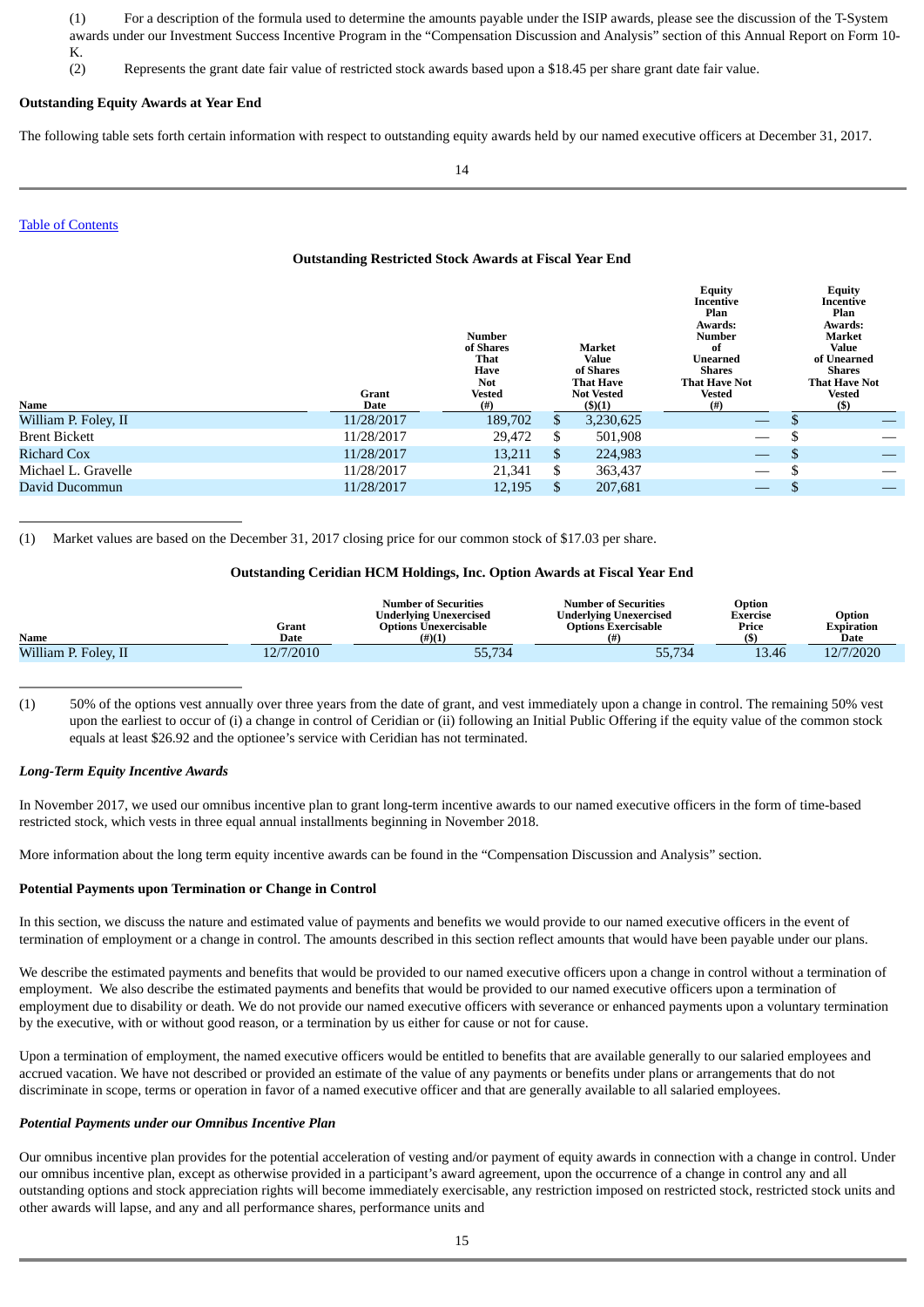(1) For a description of the formula used to determine the amounts payable under the ISIP awards, please see the discussion of the T-System awards under our Investment Success Incentive Program in the "Compensation Discussion and Analysis" section of this Annual Report on Form 10- K.

(2) Represents the grant date fair value of restricted stock awards based upon a \$18.45 per share grant date fair value.

#### **Outstanding Equity Awards at Year End**

The following table sets forth certain information with respect to outstanding equity awards held by our named executive officers at December 31, 2017.

#### Table of [Contents](#page-1-0)

#### **Outstanding Restricted Stock Awards at Fiscal Year End**

|                      | <b>Grant</b> | <b>Number</b><br>of Shares<br>That<br>Have<br><b>Not</b><br>Vested |     | Market<br>Value<br>of Shares<br><b>That Have</b><br><b>Not Vested</b> | <b>Equity</b><br>Incentive<br>Plan<br>Awards:<br>Number<br>оf<br>Unearned<br><b>Shares</b><br><b>That Have Not</b><br><b>Vested</b> |     | <b>Equity</b><br>Incentive<br>Plan<br>Awards:<br>Market<br>Value<br>of Unearned<br>Shares<br><b>That Have Not</b><br><b>Vested</b> |
|----------------------|--------------|--------------------------------------------------------------------|-----|-----------------------------------------------------------------------|-------------------------------------------------------------------------------------------------------------------------------------|-----|------------------------------------------------------------------------------------------------------------------------------------|
| Name                 | Date         | (# )                                                               |     | $($ \$ $)(1)$                                                         | $^{(#)}$                                                                                                                            |     | $($)$                                                                                                                              |
| William P. Foley, II | 11/28/2017   | 189,702                                                            | \$. | 3,230,625                                                             | $\overbrace{\hspace{25mm}}^{}$                                                                                                      |     |                                                                                                                                    |
| <b>Brent Bickett</b> | 11/28/2017   | 29,472                                                             | S   | 501,908                                                               |                                                                                                                                     | S   |                                                                                                                                    |
| <b>Richard Cox</b>   | 11/28/2017   | 13,211                                                             | \$  | 224,983                                                               |                                                                                                                                     | S   |                                                                                                                                    |
| Michael L. Gravelle  | 11/28/2017   | 21,341                                                             | S   | 363,437                                                               |                                                                                                                                     | \$. |                                                                                                                                    |
| David Ducommun       | 11/28/2017   | 12,195                                                             |     | 207,681                                                               |                                                                                                                                     |     |                                                                                                                                    |

(1) Market values are based on the December 31, 2017 closing price for our common stock of \$17.03 per share.

#### **Outstanding Ceridian HCM Holdings, Inc. Option Awards at Fiscal Year End**

| <b>Name</b>          | Grant<br>Date | <b>Number of Securities</b><br>Underlying Unexercised<br><b>Options Unexercisable</b><br>$(\#)(1)$ | <b>Number of Securities</b><br>Underlying Unexercised<br>Options Exercisable | Option<br>Exercise<br>Price<br>(ሮ | Option<br>Expiration<br>Date |
|----------------------|---------------|----------------------------------------------------------------------------------------------------|------------------------------------------------------------------------------|-----------------------------------|------------------------------|
| William P. Foley, II | 12/7/2010     | 55,734                                                                                             | 55,734                                                                       | 13.46                             | 12/7/2020                    |
|                      |               |                                                                                                    |                                                                              |                                   |                              |

(1) 50% of the options vest annually over three years from the date of grant, and vest immediately upon a change in control. The remaining 50% vest upon the earliest to occur of (i) a change in control of Ceridian or (ii) following an Initial Public Offering if the equity value of the common stock equals at least \$26.92 and the optionee's service with Ceridian has not terminated.

#### *Long-Term Equity Incentive Awards*

In November 2017, we used our omnibus incentive plan to grant long-term incentive awards to our named executive officers in the form of time-based restricted stock, which vests in three equal annual installments beginning in November 2018.

More information about the long term equity incentive awards can be found in the "Compensation Discussion and Analysis" section.

#### **Potential Payments upon Termination or Change in Control**

In this section, we discuss the nature and estimated value of payments and benefits we would provide to our named executive officers in the event of termination of employment or a change in control. The amounts described in this section reflect amounts that would have been payable under our plans.

We describe the estimated payments and benefits that would be provided to our named executive officers upon a change in control without a termination of employment. We also describe the estimated payments and benefits that would be provided to our named executive officers upon a termination of employment due to disability or death. We do not provide our named executive officers with severance or enhanced payments upon a voluntary termination by the executive, with or without good reason, or a termination by us either for cause or not for cause.

Upon a termination of employment, the named executive officers would be entitled to benefits that are available generally to our salaried employees and accrued vacation. We have not described or provided an estimate of the value of any payments or benefits under plans or arrangements that do not discriminate in scope, terms or operation in favor of a named executive officer and that are generally available to all salaried employees.

#### *Potential Payments under our Omnibus Incentive Plan*

Our omnibus incentive plan provides for the potential acceleration of vesting and/or payment of equity awards in connection with a change in control. Under our omnibus incentive plan, except as otherwise provided in a participant's award agreement, upon the occurrence of a change in control any and all outstanding options and stock appreciation rights will become immediately exercisable, any restriction imposed on restricted stock, restricted stock units and other awards will lapse, and any and all performance shares, performance units and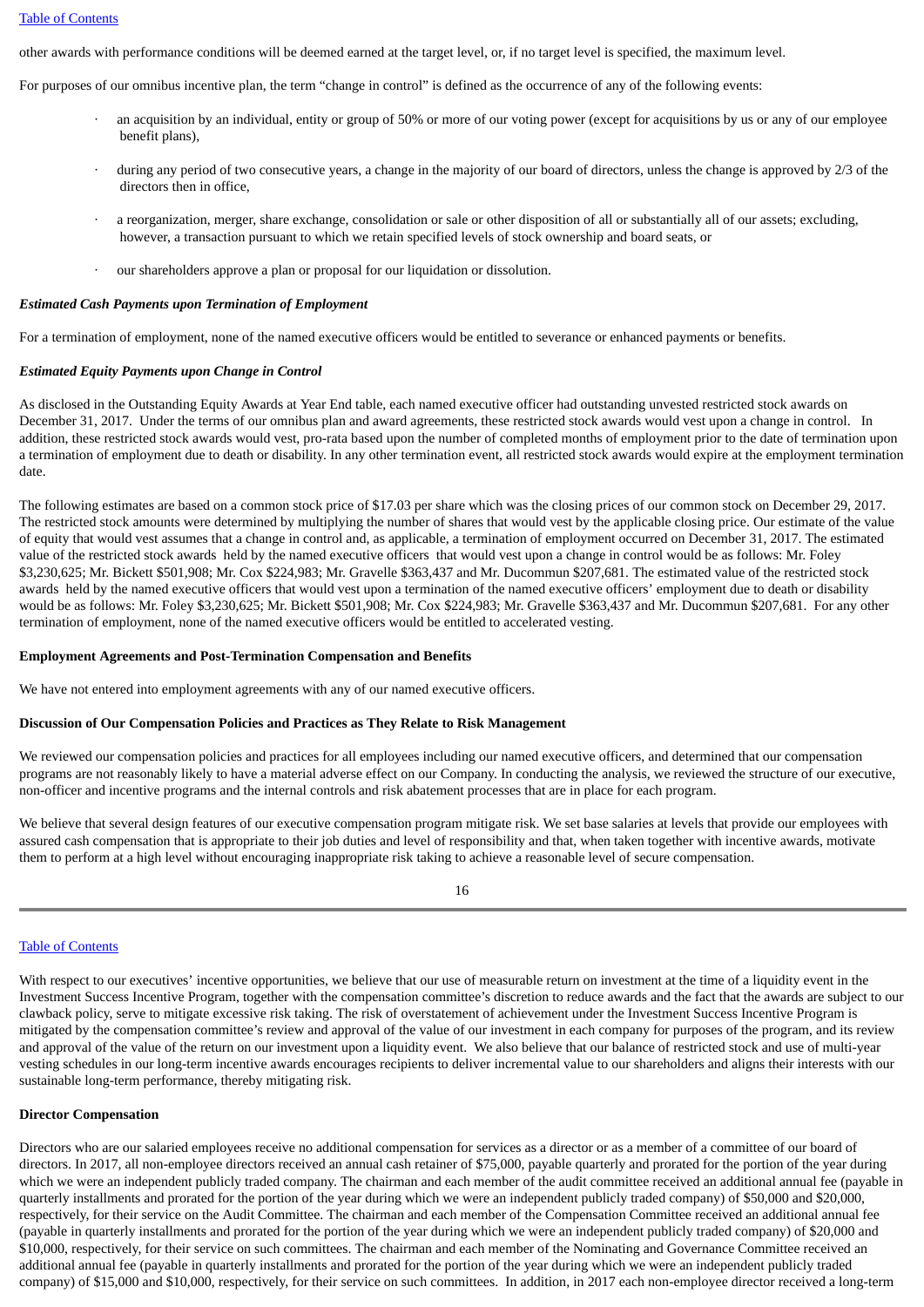other awards with performance conditions will be deemed earned at the target level, or, if no target level is specified, the maximum level.

For purposes of our omnibus incentive plan, the term "change in control" is defined as the occurrence of any of the following events:

- an acquisition by an individual, entity or group of 50% or more of our voting power (except for acquisitions by us or any of our employee benefit plans),
- during any period of two consecutive years, a change in the majority of our board of directors, unless the change is approved by 2/3 of the directors then in office,
- a reorganization, merger, share exchange, consolidation or sale or other disposition of all or substantially all of our assets; excluding, however, a transaction pursuant to which we retain specified levels of stock ownership and board seats, or
- · our shareholders approve a plan or proposal for our liquidation or dissolution.

#### *Estimated Cash Payments upon Termination of Employment*

For a termination of employment, none of the named executive officers would be entitled to severance or enhanced payments or benefits.

## *Estimated Equity Payments upon Change in Control*

As disclosed in the Outstanding Equity Awards at Year End table, each named executive officer had outstanding unvested restricted stock awards on December 31, 2017. Under the terms of our omnibus plan and award agreements, these restricted stock awards would vest upon a change in control. In addition, these restricted stock awards would vest, pro-rata based upon the number of completed months of employment prior to the date of termination upon a termination of employment due to death or disability. In any other termination event, all restricted stock awards would expire at the employment termination date.

The following estimates are based on a common stock price of \$17.03 per share which was the closing prices of our common stock on December 29, 2017. The restricted stock amounts were determined by multiplying the number of shares that would vest by the applicable closing price. Our estimate of the value of equity that would vest assumes that a change in control and, as applicable, a termination of employment occurred on December 31, 2017. The estimated value of the restricted stock awards held by the named executive officers that would vest upon a change in control would be as follows: Mr. Foley \$3,230,625; Mr. Bickett \$501,908; Mr. Cox \$224,983; Mr. Gravelle \$363,437 and Mr. Ducommun \$207,681. The estimated value of the restricted stock awards held by the named executive officers that would vest upon a termination of the named executive officers' employment due to death or disability would be as follows: Mr. Foley \$3,230,625; Mr. Bickett \$501,908; Mr. Cox \$224,983; Mr. Gravelle \$363,437 and Mr. Ducommun \$207,681. For any other termination of employment, none of the named executive officers would be entitled to accelerated vesting.

#### **Employment Agreements and Post-Termination Compensation and Benefits**

We have not entered into employment agreements with any of our named executive officers.

## **Discussion of Our Compensation Policies and Practices as They Relate to Risk Management**

We reviewed our compensation policies and practices for all employees including our named executive officers, and determined that our compensation programs are not reasonably likely to have a material adverse effect on our Company. In conducting the analysis, we reviewed the structure of our executive, non-officer and incentive programs and the internal controls and risk abatement processes that are in place for each program.

We believe that several design features of our executive compensation program mitigate risk. We set base salaries at levels that provide our employees with assured cash compensation that is appropriate to their job duties and level of responsibility and that, when taken together with incentive awards, motivate them to perform at a high level without encouraging inappropriate risk taking to achieve a reasonable level of secure compensation.

## Table of [Contents](#page-1-0)

With respect to our executives' incentive opportunities, we believe that our use of measurable return on investment at the time of a liquidity event in the Investment Success Incentive Program, together with the compensation committee's discretion to reduce awards and the fact that the awards are subject to our clawback policy, serve to mitigate excessive risk taking. The risk of overstatement of achievement under the Investment Success Incentive Program is mitigated by the compensation committee's review and approval of the value of our investment in each company for purposes of the program, and its review and approval of the value of the return on our investment upon a liquidity event. We also believe that our balance of restricted stock and use of multi-year vesting schedules in our long-term incentive awards encourages recipients to deliver incremental value to our shareholders and aligns their interests with our sustainable long-term performance, thereby mitigating risk.

## **Director Compensation**

Directors who are our salaried employees receive no additional compensation for services as a director or as a member of a committee of our board of directors. In 2017, all non-employee directors received an annual cash retainer of \$75,000, payable quarterly and prorated for the portion of the year during which we were an independent publicly traded company. The chairman and each member of the audit committee received an additional annual fee (payable in quarterly installments and prorated for the portion of the year during which we were an independent publicly traded company) of \$50,000 and \$20,000, respectively, for their service on the Audit Committee. The chairman and each member of the Compensation Committee received an additional annual fee (payable in quarterly installments and prorated for the portion of the year during which we were an independent publicly traded company) of \$20,000 and \$10,000, respectively, for their service on such committees. The chairman and each member of the Nominating and Governance Committee received an additional annual fee (payable in quarterly installments and prorated for the portion of the year during which we were an independent publicly traded company) of \$15,000 and \$10,000, respectively, for their service on such committees. In addition, in 2017 each non-employee director received a long-term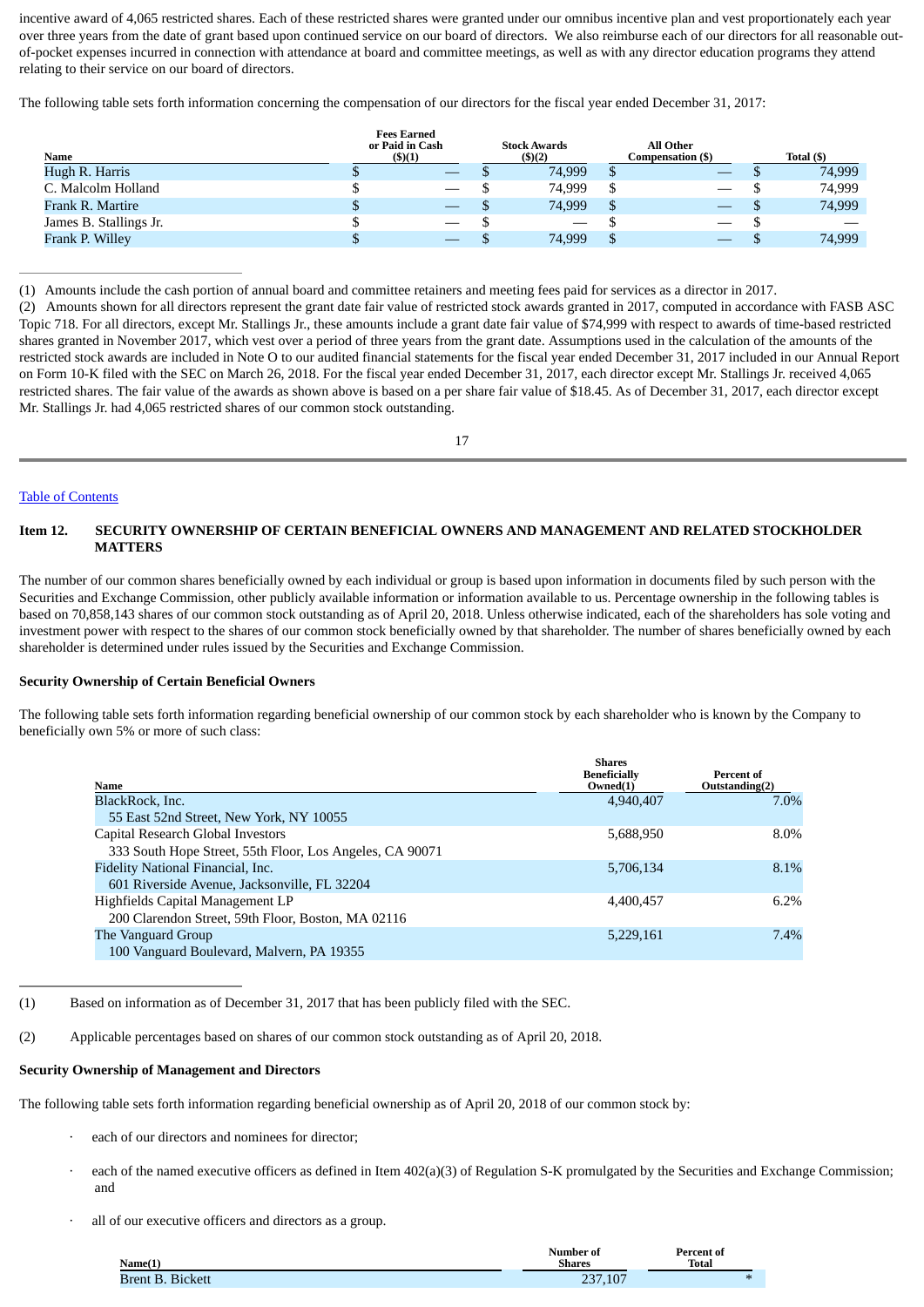incentive award of 4,065 restricted shares. Each of these restricted shares were granted under our omnibus incentive plan and vest proportionately each year over three years from the date of grant based upon continued service on our board of directors. We also reimburse each of our directors for all reasonable outof-pocket expenses incurred in connection with attendance at board and committee meetings, as well as with any director education programs they attend relating to their service on our board of directors.

The following table sets forth information concerning the compensation of our directors for the fiscal year ended December 31, 2017:

|                        | <b>Fees Earned</b><br>or Paid in Cash | <b>Stock Awards</b> | <b>All Other</b>  |            |
|------------------------|---------------------------------------|---------------------|-------------------|------------|
| Name                   | (3)(1)                                | (5)(2)              | Compensation (\$) | Total (\$) |
| Hugh R. Harris         |                                       | 74,999              |                   | 74,999     |
| C. Malcolm Holland     |                                       | 74.999              |                   | 74,999     |
| Frank R. Martire       |                                       | 74,999              |                   | 74,999     |
| James B. Stallings Jr. |                                       |                     |                   |            |
| Frank P. Willey        |                                       | 74,999              |                   | 74,999     |

(1) Amounts include the cash portion of annual board and committee retainers and meeting fees paid for services as a director in 2017.

(2) Amounts shown for all directors represent the grant date fair value of restricted stock awards granted in 2017, computed in accordance with FASB ASC Topic 718. For all directors, except Mr. Stallings Jr., these amounts include a grant date fair value of \$74,999 with respect to awards of time-based restricted shares granted in November 2017, which vest over a period of three years from the grant date. Assumptions used in the calculation of the amounts of the restricted stock awards are included in Note O to our audited financial statements for the fiscal year ended December 31, 2017 included in our Annual Report on Form 10-K filed with the SEC on March 26, 2018. For the fiscal year ended December 31, 2017, each director except Mr. Stallings Jr. received 4,065 restricted shares. The fair value of the awards as shown above is based on a per share fair value of \$18.45. As of December 31, 2017, each director except Mr. Stallings Jr. had 4,065 restricted shares of our common stock outstanding.

17

## Table of [Contents](#page-1-0)

## <span id="page-13-0"></span>**Item 12. SECURITY OWNERSHIP OF CERTAIN BENEFICIAL OWNERS AND MANAGEMENT AND RELATED STOCKHOLDER MATTERS**

The number of our common shares beneficially owned by each individual or group is based upon information in documents filed by such person with the Securities and Exchange Commission, other publicly available information or information available to us. Percentage ownership in the following tables is based on 70,858,143 shares of our common stock outstanding as of April 20, 2018. Unless otherwise indicated, each of the shareholders has sole voting and investment power with respect to the shares of our common stock beneficially owned by that shareholder. The number of shares beneficially owned by each shareholder is determined under rules issued by the Securities and Exchange Commission.

## **Security Ownership of Certain Beneficial Owners**

The following table sets forth information regarding beneficial ownership of our common stock by each shareholder who is known by the Company to beneficially own 5% or more of such class:

| Name                                                     | <b>Shares</b><br><b>Beneficially</b><br>Owned(1) | Percent of<br>Outstanding(2) |
|----------------------------------------------------------|--------------------------------------------------|------------------------------|
| BlackRock, Inc.                                          | 4,940,407                                        | 7.0%                         |
| 55 East 52nd Street, New York, NY 10055                  |                                                  |                              |
| Capital Research Global Investors                        | 5,688,950                                        | 8.0%                         |
| 333 South Hope Street, 55th Floor, Los Angeles, CA 90071 |                                                  |                              |
| Fidelity National Financial, Inc.                        | 5,706,134                                        | 8.1%                         |
| 601 Riverside Avenue, Jacksonville, FL 32204             |                                                  |                              |
| Highfields Capital Management LP                         | 4,400,457                                        | $6.2\%$                      |
| 200 Clarendon Street, 59th Floor, Boston, MA 02116       |                                                  |                              |
| The Vanguard Group                                       | 5,229,161                                        | 7.4%                         |
| 100 Vanguard Boulevard, Malvern, PA 19355                |                                                  |                              |

(1) Based on information as of December 31, 2017 that has been publicly filed with the SEC.

(2) Applicable percentages based on shares of our common stock outstanding as of April 20, 2018.

## **Security Ownership of Management and Directors**

The following table sets forth information regarding beneficial ownership as of April 20, 2018 of our common stock by:

- each of our directors and nominees for director;
- each of the named executive officers as defined in Item 402(a)(3) of Regulation S-K promulgated by the Securities and Exchange Commission; and
- all of our executive officers and directors as a group.

| Name(1)                   | <b>Number of</b><br>Shares | <b>Percent of</b><br><b>Total</b> |
|---------------------------|----------------------------|-----------------------------------|
| <b>Bickett</b><br>3rent B | 237,107                    | $\mathbf{H}$                      |
|                           |                            |                                   |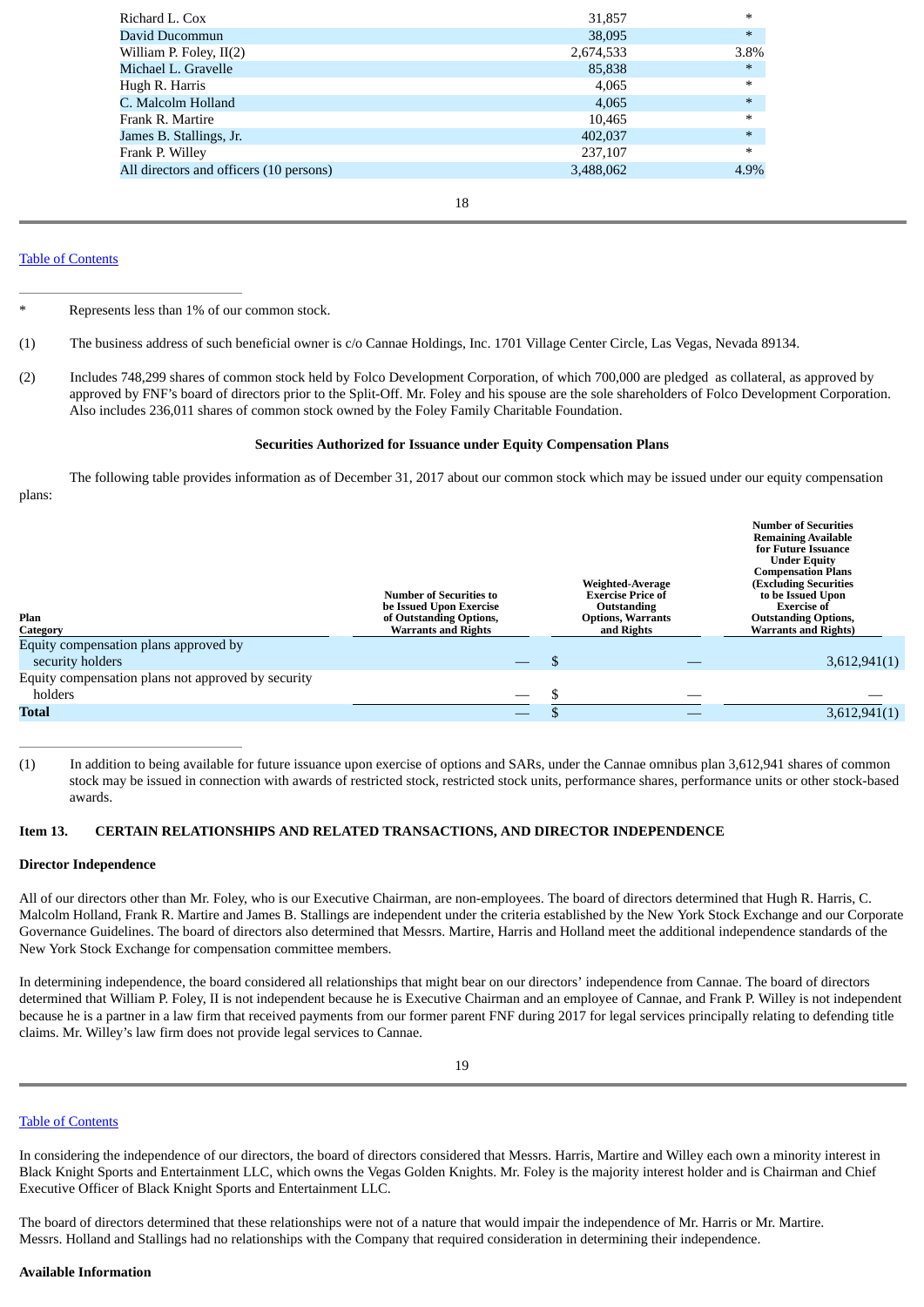| Richard L. Cox                          | 31,857    | $\ast$ |
|-----------------------------------------|-----------|--------|
| David Ducommun                          | 38,095    | $\ast$ |
| William P. Foley, II(2)                 | 2,674,533 | 3.8%   |
| Michael L. Gravelle                     | 85,838    | $\ast$ |
| Hugh R. Harris                          | 4,065     | $\ast$ |
| C. Malcolm Holland                      | 4,065     | $\ast$ |
| Frank R. Martire                        | 10,465    | $\ast$ |
| James B. Stallings, Jr.                 | 402,037   | $\ast$ |
| Frank P. Willey                         | 237,107   | $\ast$ |
| All directors and officers (10 persons) | 3,488,062 | 4.9%   |
|                                         |           |        |

18

## Table of [Contents](#page-1-0)

Represents less than 1% of our common stock.

- (1) The business address of such beneficial owner is c/o Cannae Holdings, Inc. 1701 Village Center Circle, Las Vegas, Nevada 89134.
- (2) Includes 748,299 shares of common stock held by Folco Development Corporation, of which 700,000 are pledged as collateral, as approved by approved by FNF's board of directors prior to the Split-Off. Mr. Foley and his spouse are the sole shareholders of Folco Development Corporation. Also includes 236,011 shares of common stock owned by the Foley Family Charitable Foundation.

#### <span id="page-14-0"></span>**Securities Authorized for Issuance under Equity Compensation Plans**

The following table provides information as of December 31, 2017 about our common stock which may be issued under our equity compensation plans:

| Plan                                               | <b>Number of Securities to</b><br>be Issued Upon Exercise<br>of Outstanding Options, | <b>Weighted-Average</b><br><b>Exercise Price of</b><br>Outstanding<br><b>Options, Warrants</b> | <b>Number of Securities</b><br><b>Remaining Available</b><br>for Future Issuance<br><b>Under Equity</b><br><b>Compensation Plans</b><br><b>(Excluding Securities</b><br>to be Issued Upon<br><b>Exercise of</b><br><b>Outstanding Options,</b> |
|----------------------------------------------------|--------------------------------------------------------------------------------------|------------------------------------------------------------------------------------------------|------------------------------------------------------------------------------------------------------------------------------------------------------------------------------------------------------------------------------------------------|
| Category                                           | <b>Warrants and Rights</b>                                                           | and Rights                                                                                     | <b>Warrants and Rights)</b>                                                                                                                                                                                                                    |
| Equity compensation plans approved by              |                                                                                      |                                                                                                |                                                                                                                                                                                                                                                |
| security holders                                   |                                                                                      |                                                                                                | 3,612,941(1)                                                                                                                                                                                                                                   |
| Equity compensation plans not approved by security |                                                                                      |                                                                                                |                                                                                                                                                                                                                                                |
| holders                                            |                                                                                      |                                                                                                |                                                                                                                                                                                                                                                |
| <b>Total</b>                                       |                                                                                      |                                                                                                | 3,612,941(1)                                                                                                                                                                                                                                   |

(1) In addition to being available for future issuance upon exercise of options and SARs, under the Cannae omnibus plan 3,612,941 shares of common stock may be issued in connection with awards of restricted stock, restricted stock units, performance shares, performance units or other stock-based awards.

#### **Item 13. CERTAIN RELATIONSHIPS AND RELATED TRANSACTIONS, AND DIRECTOR INDEPENDENCE**

#### **Director Independence**

All of our directors other than Mr. Foley, who is our Executive Chairman, are non-employees. The board of directors determined that Hugh R. Harris, C. Malcolm Holland, Frank R. Martire and James B. Stallings are independent under the criteria established by the New York Stock Exchange and our Corporate Governance Guidelines. The board of directors also determined that Messrs. Martire, Harris and Holland meet the additional independence standards of the New York Stock Exchange for compensation committee members.

In determining independence, the board considered all relationships that might bear on our directors' independence from Cannae. The board of directors determined that William P. Foley, II is not independent because he is Executive Chairman and an employee of Cannae, and Frank P. Willey is not independent because he is a partner in a law firm that received payments from our former parent FNF during 2017 for legal services principally relating to defending title claims. Mr. Willey's law firm does not provide legal services to Cannae.

#### Table of [Contents](#page-1-0)

In considering the independence of our directors, the board of directors considered that Messrs. Harris, Martire and Willey each own a minority interest in Black Knight Sports and Entertainment LLC, which owns the Vegas Golden Knights. Mr. Foley is the majority interest holder and is Chairman and Chief Executive Officer of Black Knight Sports and Entertainment LLC.

The board of directors determined that these relationships were not of a nature that would impair the independence of Mr. Harris or Mr. Martire. Messrs. Holland and Stallings had no relationships with the Company that required consideration in determining their independence.

#### **Available Information**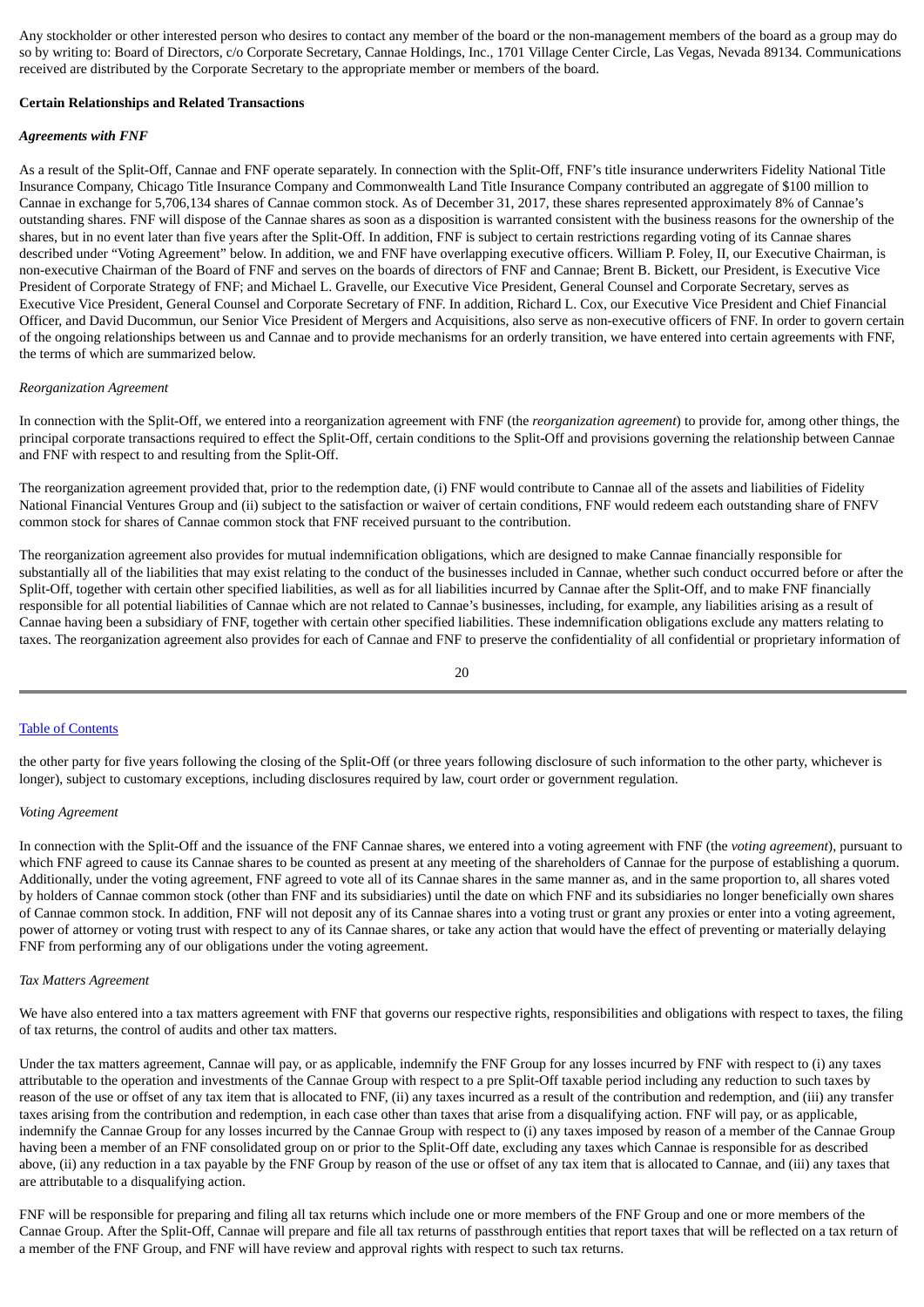Any stockholder or other interested person who desires to contact any member of the board or the non-management members of the board as a group may do so by writing to: Board of Directors, c/o Corporate Secretary, Cannae Holdings, Inc., 1701 Village Center Circle, Las Vegas, Nevada 89134. Communications received are distributed by the Corporate Secretary to the appropriate member or members of the board.

## **Certain Relationships and Related Transactions**

## *Agreements with FNF*

As a result of the Split-Off, Cannae and FNF operate separately. In connection with the Split-Off, FNF's title insurance underwriters Fidelity National Title Insurance Company, Chicago Title Insurance Company and Commonwealth Land Title Insurance Company contributed an aggregate of \$100 million to Cannae in exchange for 5,706,134 shares of Cannae common stock. As of December 31, 2017, these shares represented approximately 8% of Cannae's outstanding shares. FNF will dispose of the Cannae shares as soon as a disposition is warranted consistent with the business reasons for the ownership of the shares, but in no event later than five years after the Split-Off. In addition, FNF is subject to certain restrictions regarding voting of its Cannae shares described under "Voting Agreement" below. In addition, we and FNF have overlapping executive officers. William P. Foley, II, our Executive Chairman, is non-executive Chairman of the Board of FNF and serves on the boards of directors of FNF and Cannae; Brent B. Bickett, our President, is Executive Vice President of Corporate Strategy of FNF; and Michael L. Gravelle, our Executive Vice President, General Counsel and Corporate Secretary, serves as Executive Vice President, General Counsel and Corporate Secretary of FNF. In addition, Richard L. Cox, our Executive Vice President and Chief Financial Officer, and David Ducommun, our Senior Vice President of Mergers and Acquisitions, also serve as non-executive officers of FNF. In order to govern certain of the ongoing relationships between us and Cannae and to provide mechanisms for an orderly transition, we have entered into certain agreements with FNF, the terms of which are summarized below.

## *Reorganization Agreement*

In connection with the Split-Off, we entered into a reorganization agreement with FNF (the *reorganization agreement*) to provide for, among other things, the principal corporate transactions required to effect the Split-Off, certain conditions to the Split-Off and provisions governing the relationship between Cannae and FNF with respect to and resulting from the Split-Off.

The reorganization agreement provided that, prior to the redemption date, (i) FNF would contribute to Cannae all of the assets and liabilities of Fidelity National Financial Ventures Group and (ii) subject to the satisfaction or waiver of certain conditions, FNF would redeem each outstanding share of FNFV common stock for shares of Cannae common stock that FNF received pursuant to the contribution.

The reorganization agreement also provides for mutual indemnification obligations, which are designed to make Cannae financially responsible for substantially all of the liabilities that may exist relating to the conduct of the businesses included in Cannae, whether such conduct occurred before or after the Split-Off, together with certain other specified liabilities, as well as for all liabilities incurred by Cannae after the Split-Off, and to make FNF financially responsible for all potential liabilities of Cannae which are not related to Cannae's businesses, including, for example, any liabilities arising as a result of Cannae having been a subsidiary of FNF, together with certain other specified liabilities. These indemnification obligations exclude any matters relating to taxes. The reorganization agreement also provides for each of Cannae and FNF to preserve the confidentiality of all confidential or proprietary information of

## 20

#### Table of [Contents](#page-1-0)

the other party for five years following the closing of the Split-Off (or three years following disclosure of such information to the other party, whichever is longer), subject to customary exceptions, including disclosures required by law, court order or government regulation.

#### *Voting Agreement*

In connection with the Split-Off and the issuance of the FNF Cannae shares, we entered into a voting agreement with FNF (the *voting agreement*), pursuant to which FNF agreed to cause its Cannae shares to be counted as present at any meeting of the shareholders of Cannae for the purpose of establishing a quorum. Additionally, under the voting agreement, FNF agreed to vote all of its Cannae shares in the same manner as, and in the same proportion to, all shares voted by holders of Cannae common stock (other than FNF and its subsidiaries) until the date on which FNF and its subsidiaries no longer beneficially own shares of Cannae common stock. In addition, FNF will not deposit any of its Cannae shares into a voting trust or grant any proxies or enter into a voting agreement, power of attorney or voting trust with respect to any of its Cannae shares, or take any action that would have the effect of preventing or materially delaying FNF from performing any of our obligations under the voting agreement.

#### *Tax Matters Agreement*

We have also entered into a tax matters agreement with FNF that governs our respective rights, responsibilities and obligations with respect to taxes, the filing of tax returns, the control of audits and other tax matters.

Under the tax matters agreement, Cannae will pay, or as applicable, indemnify the FNF Group for any losses incurred by FNF with respect to (i) any taxes attributable to the operation and investments of the Cannae Group with respect to a pre Split-Off taxable period including any reduction to such taxes by reason of the use or offset of any tax item that is allocated to FNF, (ii) any taxes incurred as a result of the contribution and redemption, and (iii) any transfer taxes arising from the contribution and redemption, in each case other than taxes that arise from a disqualifying action. FNF will pay, or as applicable, indemnify the Cannae Group for any losses incurred by the Cannae Group with respect to (i) any taxes imposed by reason of a member of the Cannae Group having been a member of an FNF consolidated group on or prior to the Split-Off date, excluding any taxes which Cannae is responsible for as described above, (ii) any reduction in a tax payable by the FNF Group by reason of the use or offset of any tax item that is allocated to Cannae, and (iii) any taxes that are attributable to a disqualifying action.

FNF will be responsible for preparing and filing all tax returns which include one or more members of the FNF Group and one or more members of the Cannae Group. After the Split-Off, Cannae will prepare and file all tax returns of passthrough entities that report taxes that will be reflected on a tax return of a member of the FNF Group, and FNF will have review and approval rights with respect to such tax returns.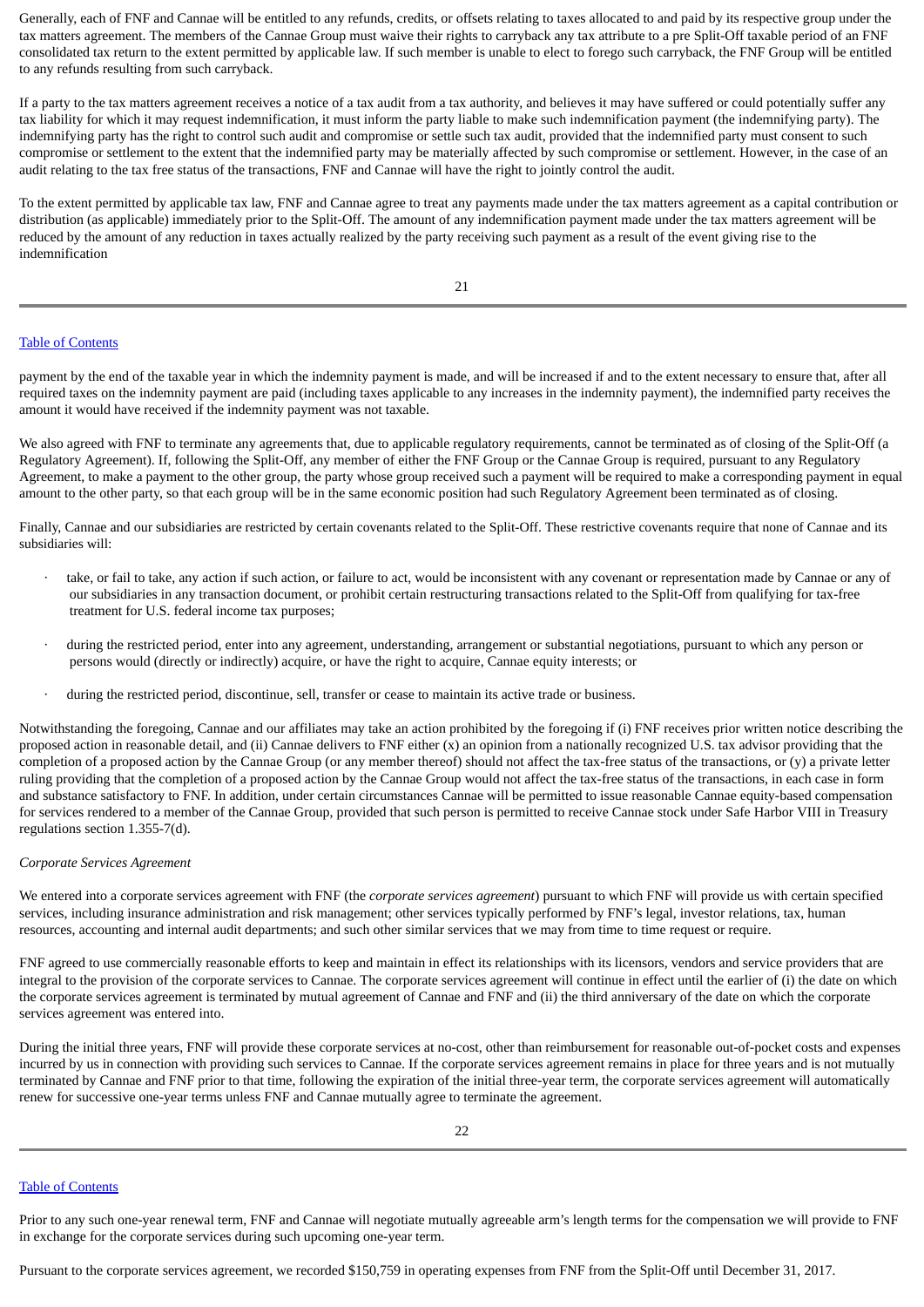Generally, each of FNF and Cannae will be entitled to any refunds, credits, or offsets relating to taxes allocated to and paid by its respective group under the tax matters agreement. The members of the Cannae Group must waive their rights to carryback any tax attribute to a pre Split-Off taxable period of an FNF consolidated tax return to the extent permitted by applicable law. If such member is unable to elect to forego such carryback, the FNF Group will be entitled to any refunds resulting from such carryback.

If a party to the tax matters agreement receives a notice of a tax audit from a tax authority, and believes it may have suffered or could potentially suffer any tax liability for which it may request indemnification, it must inform the party liable to make such indemnification payment (the indemnifying party). The indemnifying party has the right to control such audit and compromise or settle such tax audit, provided that the indemnified party must consent to such compromise or settlement to the extent that the indemnified party may be materially affected by such compromise or settlement. However, in the case of an audit relating to the tax free status of the transactions, FNF and Cannae will have the right to jointly control the audit.

To the extent permitted by applicable tax law, FNF and Cannae agree to treat any payments made under the tax matters agreement as a capital contribution or distribution (as applicable) immediately prior to the Split-Off. The amount of any indemnification payment made under the tax matters agreement will be reduced by the amount of any reduction in taxes actually realized by the party receiving such payment as a result of the event giving rise to the indemnification

21

## Table of [Contents](#page-1-0)

payment by the end of the taxable year in which the indemnity payment is made, and will be increased if and to the extent necessary to ensure that, after all required taxes on the indemnity payment are paid (including taxes applicable to any increases in the indemnity payment), the indemnified party receives the amount it would have received if the indemnity payment was not taxable.

We also agreed with FNF to terminate any agreements that, due to applicable regulatory requirements, cannot be terminated as of closing of the Split-Off (a Regulatory Agreement). If, following the Split-Off, any member of either the FNF Group or the Cannae Group is required, pursuant to any Regulatory Agreement, to make a payment to the other group, the party whose group received such a payment will be required to make a corresponding payment in equal amount to the other party, so that each group will be in the same economic position had such Regulatory Agreement been terminated as of closing.

Finally, Cannae and our subsidiaries are restricted by certain covenants related to the Split-Off. These restrictive covenants require that none of Cannae and its subsidiaries will:

- take, or fail to take, any action if such action, or failure to act, would be inconsistent with any covenant or representation made by Cannae or any of our subsidiaries in any transaction document, or prohibit certain restructuring transactions related to the Split-Off from qualifying for tax-free treatment for U.S. federal income tax purposes;
- · during the restricted period, enter into any agreement, understanding, arrangement or substantial negotiations, pursuant to which any person or persons would (directly or indirectly) acquire, or have the right to acquire, Cannae equity interests; or
- during the restricted period, discontinue, sell, transfer or cease to maintain its active trade or business.

Notwithstanding the foregoing, Cannae and our affiliates may take an action prohibited by the foregoing if (i) FNF receives prior written notice describing the proposed action in reasonable detail, and (ii) Cannae delivers to FNF either (x) an opinion from a nationally recognized U.S. tax advisor providing that the completion of a proposed action by the Cannae Group (or any member thereof) should not affect the tax-free status of the transactions, or (y) a private letter ruling providing that the completion of a proposed action by the Cannae Group would not affect the tax-free status of the transactions, in each case in form and substance satisfactory to FNF. In addition, under certain circumstances Cannae will be permitted to issue reasonable Cannae equity-based compensation for services rendered to a member of the Cannae Group, provided that such person is permitted to receive Cannae stock under Safe Harbor VIII in Treasury regulations section 1.355-7(d).

## *Corporate Services Agreement*

We entered into a corporate services agreement with FNF (the *corporate services agreement*) pursuant to which FNF will provide us with certain specified services, including insurance administration and risk management; other services typically performed by FNF's legal, investor relations, tax, human resources, accounting and internal audit departments; and such other similar services that we may from time to time request or require.

FNF agreed to use commercially reasonable efforts to keep and maintain in effect its relationships with its licensors, vendors and service providers that are integral to the provision of the corporate services to Cannae. The corporate services agreement will continue in effect until the earlier of (i) the date on which the corporate services agreement is terminated by mutual agreement of Cannae and FNF and (ii) the third anniversary of the date on which the corporate services agreement was entered into.

During the initial three years, FNF will provide these corporate services at no-cost, other than reimbursement for reasonable out-of-pocket costs and expenses incurred by us in connection with providing such services to Cannae. If the corporate services agreement remains in place for three years and is not mutually terminated by Cannae and FNF prior to that time, following the expiration of the initial three-year term, the corporate services agreement will automatically renew for successive one-year terms unless FNF and Cannae mutually agree to terminate the agreement.

## Table of [Contents](#page-1-0)

Prior to any such one-year renewal term, FNF and Cannae will negotiate mutually agreeable arm's length terms for the compensation we will provide to FNF in exchange for the corporate services during such upcoming one-year term.

Pursuant to the corporate services agreement, we recorded \$150,759 in operating expenses from FNF from the Split-Off until December 31, 2017.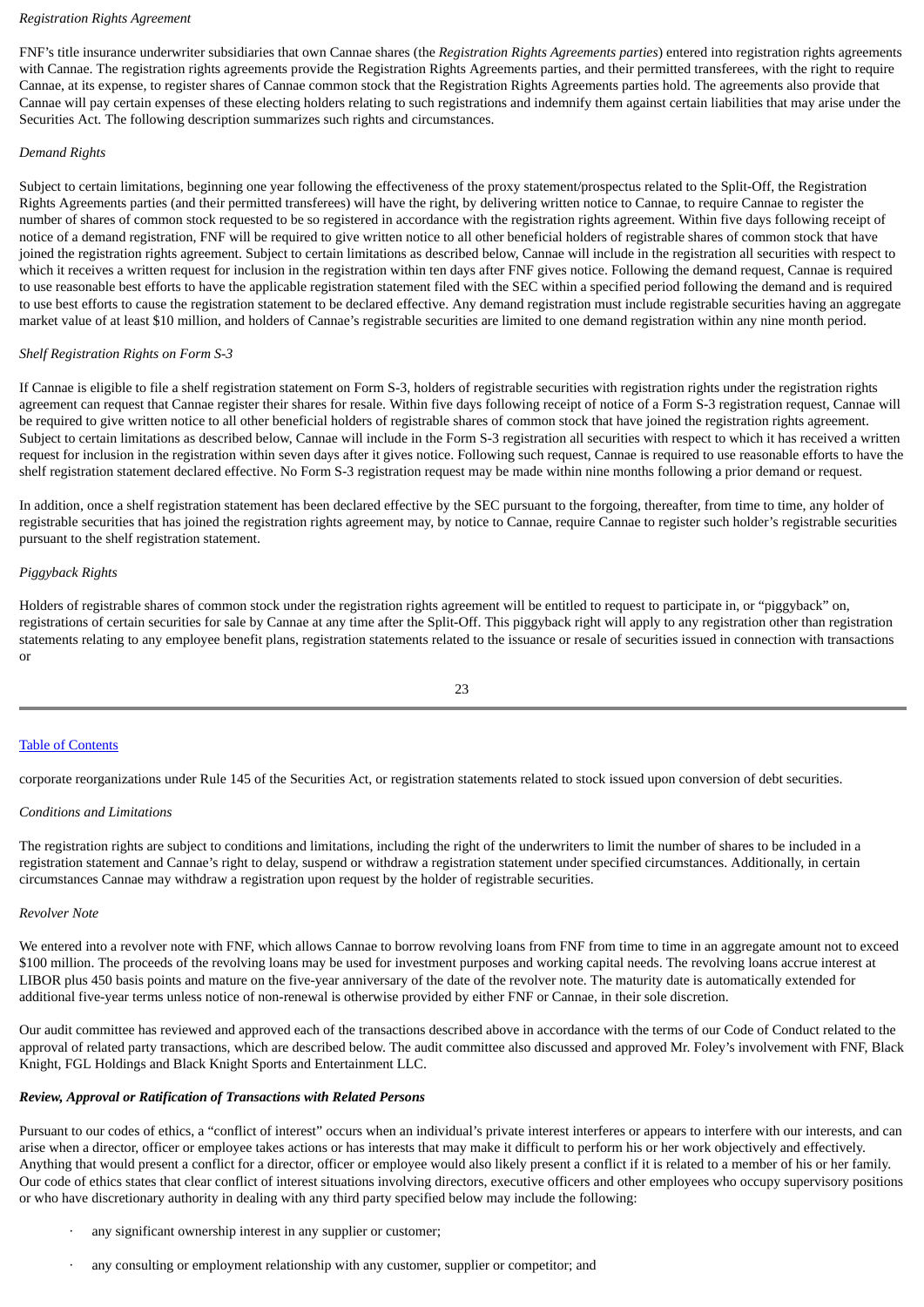## *Registration Rights Agreement*

FNF's title insurance underwriter subsidiaries that own Cannae shares (the *Registration Rights Agreements parties*) entered into registration rights agreements with Cannae. The registration rights agreements provide the Registration Rights Agreements parties, and their permitted transferees, with the right to require Cannae, at its expense, to register shares of Cannae common stock that the Registration Rights Agreements parties hold. The agreements also provide that Cannae will pay certain expenses of these electing holders relating to such registrations and indemnify them against certain liabilities that may arise under the Securities Act. The following description summarizes such rights and circumstances.

## *Demand Rights*

Subject to certain limitations, beginning one year following the effectiveness of the proxy statement/prospectus related to the Split-Off, the Registration Rights Agreements parties (and their permitted transferees) will have the right, by delivering written notice to Cannae, to require Cannae to register the number of shares of common stock requested to be so registered in accordance with the registration rights agreement. Within five days following receipt of notice of a demand registration, FNF will be required to give written notice to all other beneficial holders of registrable shares of common stock that have joined the registration rights agreement. Subject to certain limitations as described below, Cannae will include in the registration all securities with respect to which it receives a written request for inclusion in the registration within ten days after FNF gives notice. Following the demand request, Cannae is required to use reasonable best efforts to have the applicable registration statement filed with the SEC within a specified period following the demand and is required to use best efforts to cause the registration statement to be declared effective. Any demand registration must include registrable securities having an aggregate market value of at least \$10 million, and holders of Cannae's registrable securities are limited to one demand registration within any nine month period.

## *Shelf Registration Rights on Form S-3*

If Cannae is eligible to file a shelf registration statement on Form S-3, holders of registrable securities with registration rights under the registration rights agreement can request that Cannae register their shares for resale. Within five days following receipt of notice of a Form S-3 registration request, Cannae will be required to give written notice to all other beneficial holders of registrable shares of common stock that have joined the registration rights agreement. Subject to certain limitations as described below, Cannae will include in the Form S-3 registration all securities with respect to which it has received a written request for inclusion in the registration within seven days after it gives notice. Following such request, Cannae is required to use reasonable efforts to have the shelf registration statement declared effective. No Form S-3 registration request may be made within nine months following a prior demand or request.

In addition, once a shelf registration statement has been declared effective by the SEC pursuant to the forgoing, thereafter, from time to time, any holder of registrable securities that has joined the registration rights agreement may, by notice to Cannae, require Cannae to register such holder's registrable securities pursuant to the shelf registration statement.

## *Piggyback Rights*

Holders of registrable shares of common stock under the registration rights agreement will be entitled to request to participate in, or "piggyback" on, registrations of certain securities for sale by Cannae at any time after the Split-Off. This piggyback right will apply to any registration other than registration statements relating to any employee benefit plans, registration statements related to the issuance or resale of securities issued in connection with transactions or

#### Table of [Contents](#page-1-0)

corporate reorganizations under Rule 145 of the Securities Act, or registration statements related to stock issued upon conversion of debt securities.

#### *Conditions and Limitations*

The registration rights are subject to conditions and limitations, including the right of the underwriters to limit the number of shares to be included in a registration statement and Cannae's right to delay, suspend or withdraw a registration statement under specified circumstances. Additionally, in certain circumstances Cannae may withdraw a registration upon request by the holder of registrable securities.

#### *Revolver Note*

We entered into a revolver note with FNF, which allows Cannae to borrow revolving loans from FNF from time to time in an aggregate amount not to exceed \$100 million. The proceeds of the revolving loans may be used for investment purposes and working capital needs. The revolving loans accrue interest at LIBOR plus 450 basis points and mature on the five-year anniversary of the date of the revolver note. The maturity date is automatically extended for additional five-year terms unless notice of non-renewal is otherwise provided by either FNF or Cannae, in their sole discretion.

Our audit committee has reviewed and approved each of the transactions described above in accordance with the terms of our Code of Conduct related to the approval of related party transactions, which are described below. The audit committee also discussed and approved Mr. Foley's involvement with FNF, Black Knight, FGL Holdings and Black Knight Sports and Entertainment LLC.

## *Review, Approval or Ratification of Transactions with Related Persons*

Pursuant to our codes of ethics, a "conflict of interest" occurs when an individual's private interest interferes or appears to interfere with our interests, and can arise when a director, officer or employee takes actions or has interests that may make it difficult to perform his or her work objectively and effectively. Anything that would present a conflict for a director, officer or employee would also likely present a conflict if it is related to a member of his or her family. Our code of ethics states that clear conflict of interest situations involving directors, executive officers and other employees who occupy supervisory positions or who have discretionary authority in dealing with any third party specified below may include the following:

- any significant ownership interest in any supplier or customer;
- any consulting or employment relationship with any customer, supplier or competitor; and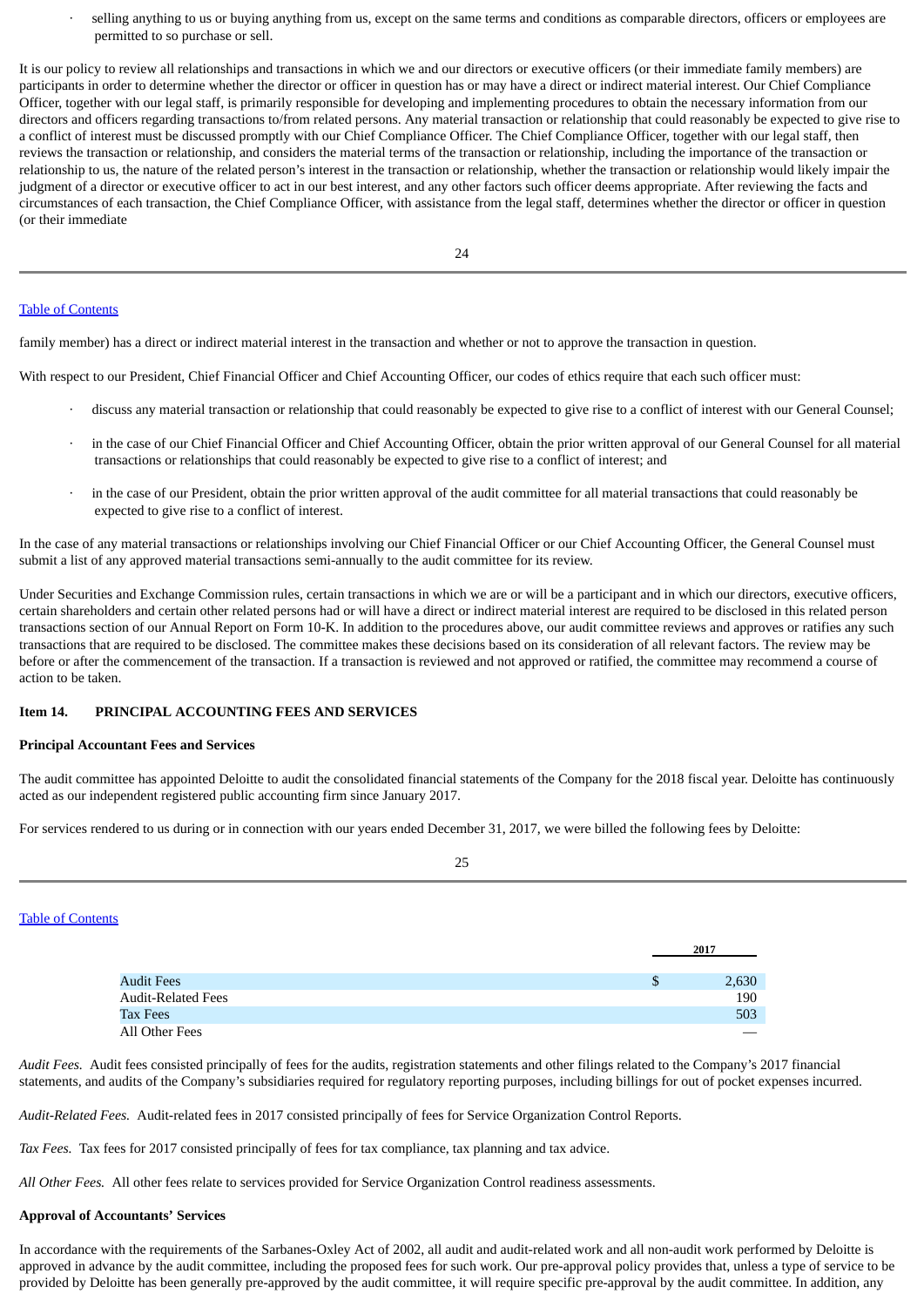selling anything to us or buying anything from us, except on the same terms and conditions as comparable directors, officers or employees are permitted to so purchase or sell.

It is our policy to review all relationships and transactions in which we and our directors or executive officers (or their immediate family members) are participants in order to determine whether the director or officer in question has or may have a direct or indirect material interest. Our Chief Compliance Officer, together with our legal staff, is primarily responsible for developing and implementing procedures to obtain the necessary information from our directors and officers regarding transactions to/from related persons. Any material transaction or relationship that could reasonably be expected to give rise to a conflict of interest must be discussed promptly with our Chief Compliance Officer. The Chief Compliance Officer, together with our legal staff, then reviews the transaction or relationship, and considers the material terms of the transaction or relationship, including the importance of the transaction or relationship to us, the nature of the related person's interest in the transaction or relationship, whether the transaction or relationship would likely impair the judgment of a director or executive officer to act in our best interest, and any other factors such officer deems appropriate. After reviewing the facts and circumstances of each transaction, the Chief Compliance Officer, with assistance from the legal staff, determines whether the director or officer in question (or their immediate

#### Table of [Contents](#page-1-0)

family member) has a direct or indirect material interest in the transaction and whether or not to approve the transaction in question.

With respect to our President, Chief Financial Officer and Chief Accounting Officer, our codes of ethics require that each such officer must:

- · discuss any material transaction or relationship that could reasonably be expected to give rise to a conflict of interest with our General Counsel;
- in the case of our Chief Financial Officer and Chief Accounting Officer, obtain the prior written approval of our General Counsel for all material transactions or relationships that could reasonably be expected to give rise to a conflict of interest; and
- in the case of our President, obtain the prior written approval of the audit committee for all material transactions that could reasonably be expected to give rise to a conflict of interest.

In the case of any material transactions or relationships involving our Chief Financial Officer or our Chief Accounting Officer, the General Counsel must submit a list of any approved material transactions semi-annually to the audit committee for its review.

Under Securities and Exchange Commission rules, certain transactions in which we are or will be a participant and in which our directors, executive officers, certain shareholders and certain other related persons had or will have a direct or indirect material interest are required to be disclosed in this related person transactions section of our Annual Report on Form 10-K. In addition to the procedures above, our audit committee reviews and approves or ratifies any such transactions that are required to be disclosed. The committee makes these decisions based on its consideration of all relevant factors. The review may be before or after the commencement of the transaction. If a transaction is reviewed and not approved or ratified, the committee may recommend a course of action to be taken.

### **Item 14. PRINCIPAL ACCOUNTING FEES AND SERVICES**

#### **Principal Accountant Fees and Services**

The audit committee has appointed Deloitte to audit the consolidated financial statements of the Company for the 2018 fiscal year. Deloitte has continuously acted as our independent registered public accounting firm since January 2017.

<span id="page-18-0"></span>25

For services rendered to us during or in connection with our years ended December 31, 2017, we were billed the following fees by Deloitte:

Table of [Contents](#page-1-0)

|                           | 2017        |  |
|---------------------------|-------------|--|
|                           |             |  |
| <b>Audit Fees</b>         | \$<br>2,630 |  |
| <b>Audit-Related Fees</b> | 190         |  |
| <b>Tax Fees</b>           | 503         |  |
| All Other Fees            |             |  |

*Audit Fees.* Audit fees consisted principally of fees for the audits, registration statements and other filings related to the Company's 2017 financial statements, and audits of the Company's subsidiaries required for regulatory reporting purposes, including billings for out of pocket expenses incurred.

*Audit-Related Fees.* Audit-related fees in 2017 consisted principally of fees for Service Organization Control Reports.

*Tax Fees.* Tax fees for 2017 consisted principally of fees for tax compliance, tax planning and tax advice.

*All Other Fees.* All other fees relate to services provided for Service Organization Control readiness assessments.

## **Approval of Accountants' Services**

In accordance with the requirements of the Sarbanes-Oxley Act of 2002, all audit and audit-related work and all non-audit work performed by Deloitte is approved in advance by the audit committee, including the proposed fees for such work. Our pre-approval policy provides that, unless a type of service to be provided by Deloitte has been generally pre-approved by the audit committee, it will require specific pre-approval by the audit committee. In addition, any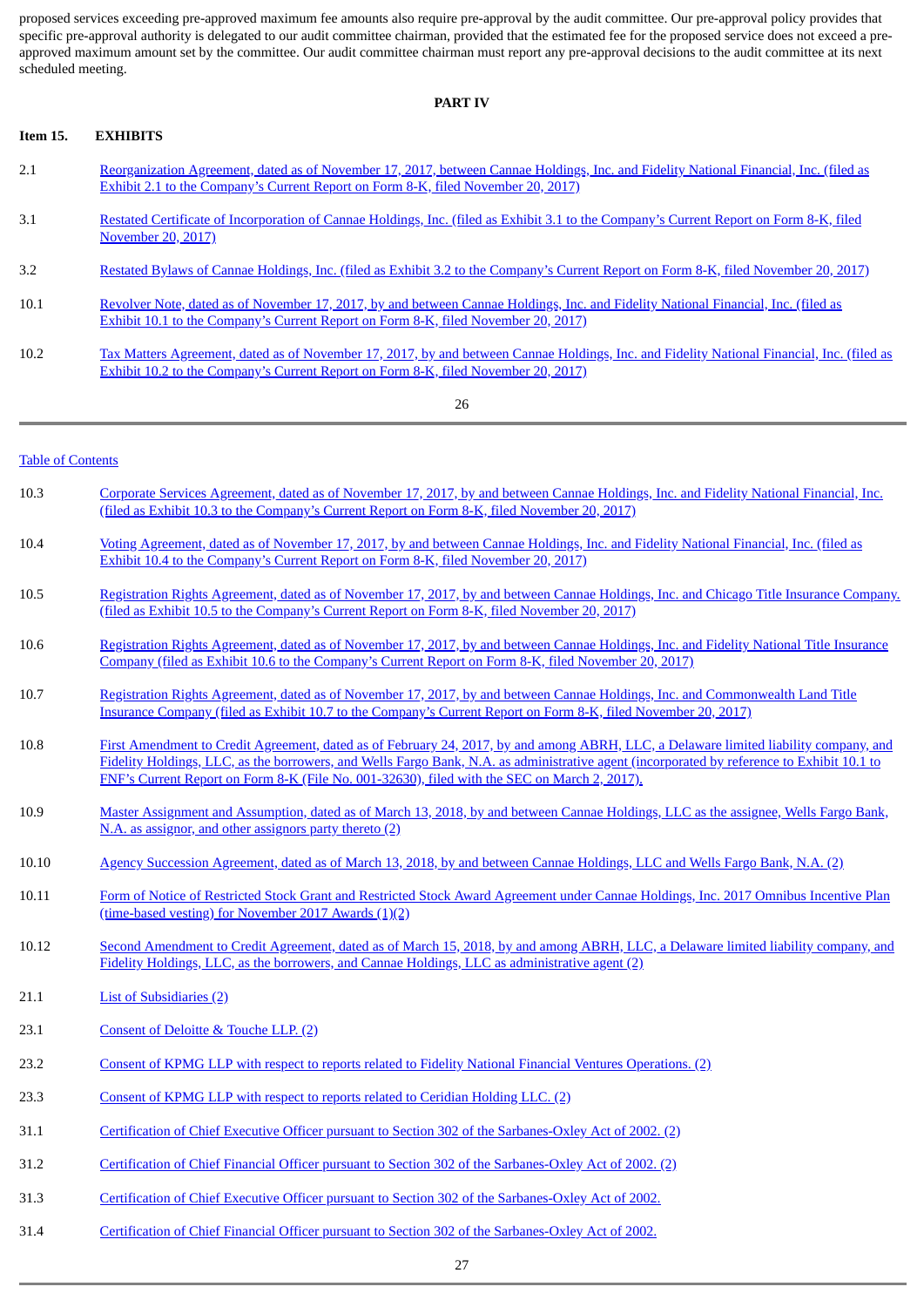proposed services exceeding pre-approved maximum fee amounts also require pre-approval by the audit committee. Our pre-approval policy provides that specific pre-approval authority is delegated to our audit committee chairman, provided that the estimated fee for the proposed service does not exceed a preapproved maximum amount set by the committee. Our audit committee chairman must report any pre-approval decisions to the audit committee at its next scheduled meeting.

#### **PART IV**

## <span id="page-19-0"></span>**Item 15. EXHIBITS**

- 2.1 [Reorganization](http://www.sec.gov/Archives/edgar/data/1704720/000110465917069548/a17-27151_1ex2d1.htm) Agreement, dated as of November 17, 2017, between Cannae Holdings, Inc. and Fidelity National Financial, Inc. (filed as Exhibit 2.1 to the Company's Current Report on Form 8-K, filed November 20, 2017)
- 3.1 Restated Certificate of [Incorporation](http://www.sec.gov/Archives/edgar/data/1704720/000110465917069548/a17-27151_1ex3d1.htm) of Cannae Holdings, Inc. (filed as Exhibit 3.1 to the Company's Current Report on Form 8-K, filed November 20, 2017)
- 3.2 Restated Bylaws of Cannae Holdings, Inc. (filed as Exhibit 3.2 to the [Company's](http://www.sec.gov/Archives/edgar/data/1704720/000110465917069548/a17-27151_1ex3d2.htm) Current Report on Form 8-K, filed November 20, 2017)
- 10.1 Revolver Note, dated as of November 17, 2017, by and between Cannae Holdings, Inc. and Fidelity National Financial, Inc. (filed as Exhibit 10.1 to the [Company's](http://www.sec.gov/Archives/edgar/data/1704720/000110465917069548/a17-27151_1ex10d1.htm) Current Report on Form 8-K, filed November 20, 2017)
- 10.2 Tax Matters [Agreement,](http://www.sec.gov/Archives/edgar/data/1704720/000110465917069548/a17-27151_1ex10d2.htm) dated as of November 17, 2017, by and between Cannae Holdings, Inc. and Fidelity National Financial, Inc. (filed as Exhibit 10.2 to the Company's Current Report on Form 8-K, filed November 20, 2017)

| a. | I<br>×<br>×<br>٧ |
|----|------------------|
|    |                  |

## Table of [Contents](#page-1-0)

- 10.3 Corporate Services [Agreement,](http://www.sec.gov/Archives/edgar/data/1704720/000110465917069548/a17-27151_1ex10d3.htm) dated as of November 17, 2017, by and between Cannae Holdings, Inc. and Fidelity National Financial, Inc. (filed as Exhibit 10.3 to the Company's Current Report on Form 8-K, filed November 20, 2017)
- 10.4 Voting [Agreement,](http://www.sec.gov/Archives/edgar/data/1704720/000110465917069548/a17-27151_1ex10d4.htm) dated as of November 17, 2017, by and between Cannae Holdings, Inc. and Fidelity National Financial, Inc. (filed as Exhibit 10.4 to the Company's Current Report on Form 8-K, filed November 20, 2017)
- 10.5 [Registration](http://www.sec.gov/Archives/edgar/data/1704720/000110465917069548/a17-27151_1ex10d5.htm) Rights Agreement, dated as of November 17, 2017, by and between Cannae Holdings, Inc. and Chicago Title Insurance Company. (filed as Exhibit 10.5 to the Company's Current Report on Form 8-K, filed November 20, 2017)
- 10.6 [Registration](http://www.sec.gov/Archives/edgar/data/1704720/000110465917069548/a17-27151_1ex10d6.htm) Rights Agreement, dated as of November 17, 2017, by and between Cannae Holdings, Inc. and Fidelity National Title Insurance Company (filed as Exhibit 10.6 to the Company's Current Report on Form 8-K, filed November 20, 2017)
- 10.7 Registration Rights Agreement, dated as of November 17, 2017, by and between Cannae Holdings, Inc. and [Commonwealth](http://www.sec.gov/Archives/edgar/data/1704720/000110465917069548/a17-27151_1ex10d7.htm) Land Title Insurance Company (filed as Exhibit 10.7 to the Company's Current Report on Form 8-K, filed November 20, 2017)
- 10.8 First Amendment to Credit Agreement, dated as of February 24, 2017, by and among ABRH, LLC, a Delaware limited liability company, and Fidelity Holdings, LLC, as the borrowers, and Wells Fargo Bank, N.A. as [administrative](http://www.sec.gov/Archives/edgar/data/1331875/000133187517000034/ex101abrhfirstamendment.htm) agent (incorporated by reference to Exhibit 10.1 to FNF's Current Report on Form 8-K (File No. 001-32630), filed with the SEC on March 2, 2017).
- 10.9 Master Assignment and [Assumption,](http://www.sec.gov/Archives/edgar/data/1704720/000170472018000022/exhibit109-masterassignmen.htm) dated as of March 13, 2018, by and between Cannae Holdings, LLC as the assignee, Wells Fargo Bank, N.A. as assignor, and other assignors party thereto (2)
- 10.10 Agency Succession [Agreement,](http://www.sec.gov/Archives/edgar/data/1704720/000170472018000022/exhibit1010-agencysuccessi.htm) dated as of March 13, 2018, by and between Cannae Holdings, LLC and Wells Fargo Bank, N.A. (2)
- 10.11 Form of Notice of Restricted Stock Grant and Restricted Stock Award Agreement under Cannae Holdings, Inc. 2017 Omnibus Incentive Plan [\(time-based](http://www.sec.gov/Archives/edgar/data/1704720/000170472018000022/exhibit1011formofcnnersgra.htm) vesting) for November 2017 Awards (1)(2)
- 10.12 Second Amendment to Credit Agreement, dated as of March 15, 2018, by and among ABRH, LLC, a Delaware limited liability company, and Fidelity Holdings, LLC, as the borrowers, and Cannae Holdings, LLC as [administrative](http://www.sec.gov/Archives/edgar/data/1704720/000170472018000022/exhibit1012-secondamendmen.htm) agent (2)
- 21.1 List of [Subsidiaries](http://www.sec.gov/Archives/edgar/data/1704720/000170472018000022/exhibit21120162.htm) (2)
- 23.1 [Consent](http://www.sec.gov/Archives/edgar/data/1704720/000170472018000022/exhibit23120162.htm) of Deloitte & Touche LLP. (2)
- 23.2 Consent of KPMG LLP with respect to reports related to Fidelity National Financial Ventures [Operations.](http://www.sec.gov/Archives/edgar/data/1704720/000170472018000022/exhibit232cnne.htm) (2)
- 23.3 Consent of KPMG LLP with respect to reports related to [Ceridian](http://www.sec.gov/Archives/edgar/data/1704720/000170472018000022/exhibit233cnne.htm) Holding LLC. (2)
- 31.1 Certification of Chief Executive Officer pursuant to Section 302 of the [Sarbanes-Oxley](http://www.sec.gov/Archives/edgar/data/1704720/000170472018000022/exhibit31120162.htm) Act of 2002. (2)
- 31.2 Certification of Chief Financial Officer pursuant to Section 302 of the [Sarbanes-Oxley](http://www.sec.gov/Archives/edgar/data/1704720/000170472018000022/exhibit31220162.htm) Act of 2002. (2)
- 31.3 Certification of Chief Executive Officer pursuant to Section 302 of the [Sarbanes-Oxley](#page-20-0) Act of 2002.
- 31.4 Certification of Chief Financial Officer pursuant to Section 302 of the [Sarbanes-Oxley](#page-21-0) Act of 2002.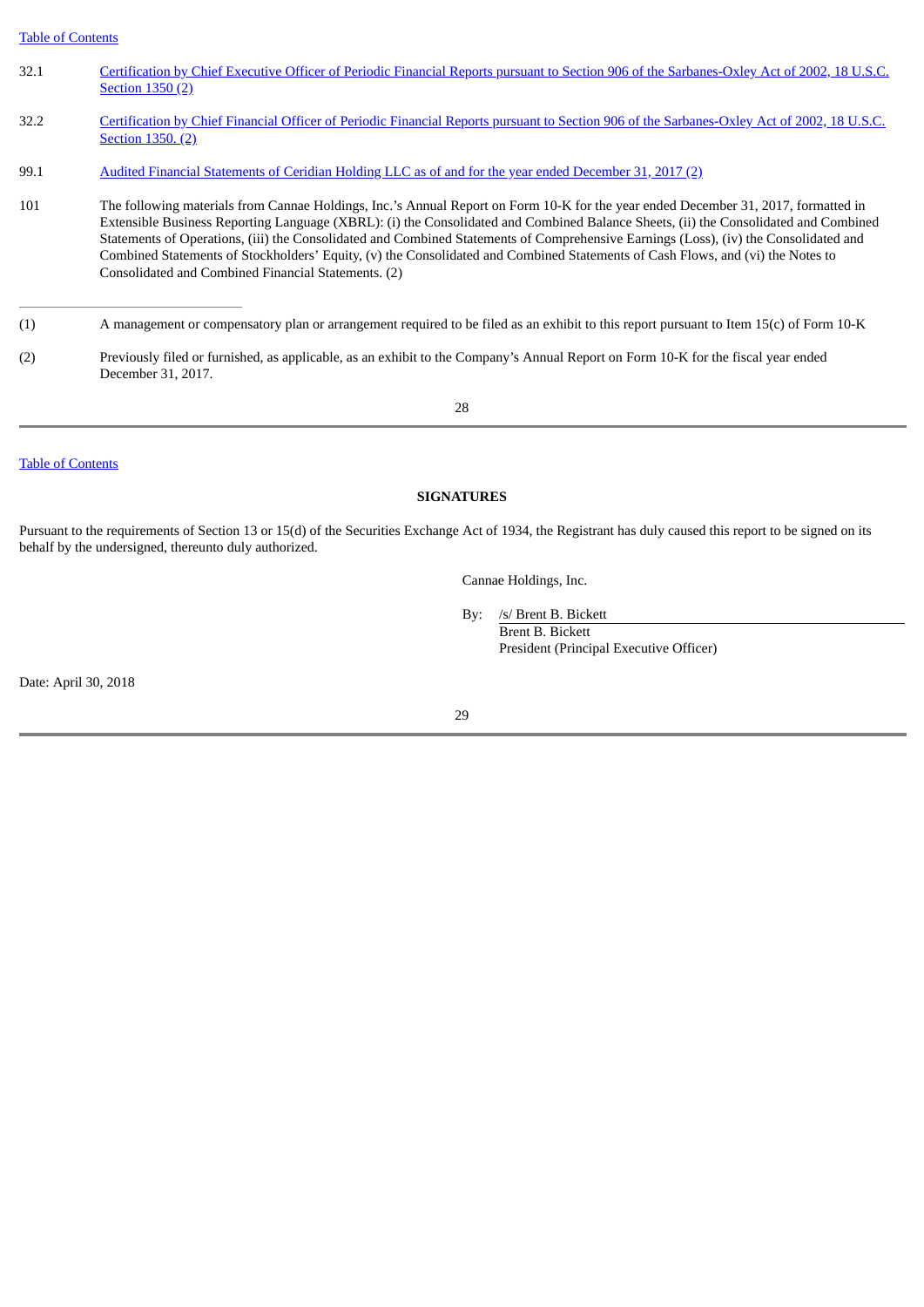Table of [Contents](#page-1-0)

- 32.1 Certification by Chief Executive Officer of Periodic Financial Reports pursuant to Section 906 of the [Sarbanes-Oxley](http://www.sec.gov/Archives/edgar/data/1704720/000170472018000022/exhibit32120162.htm) Act of 2002, 18 U.S.C. Section 1350 (2)
- 32.2 Certification by Chief Financial Officer of Periodic Financial Reports pursuant to Section 906 of the [Sarbanes-Oxley](http://www.sec.gov/Archives/edgar/data/1704720/000170472018000022/exhibit32220162.htm) Act of 2002, 18 U.S.C. Section 1350. (2)
- 99.1 Audited Financial [Statements](http://www.sec.gov/Archives/edgar/data/1704720/000170472018000022/exhibit991ceridianholdingl.htm) of Ceridian Holding LLC as of and for the year ended December 31, 2017 (2)
- 101 The following materials from Cannae Holdings, Inc.'s Annual Report on Form 10-K for the year ended December 31, 2017, formatted in Extensible Business Reporting Language (XBRL): (i) the Consolidated and Combined Balance Sheets, (ii) the Consolidated and Combined Statements of Operations, (iii) the Consolidated and Combined Statements of Comprehensive Earnings (Loss), (iv) the Consolidated and Combined Statements of Stockholders' Equity, (v) the Consolidated and Combined Statements of Cash Flows, and (vi) the Notes to Consolidated and Combined Financial Statements. (2)

(2) Previously filed or furnished, as applicable, as an exhibit to the Company's Annual Report on Form 10-K for the fiscal year ended December 31, 2017.

28

Table of [Contents](#page-1-0)

## **SIGNATURES**

Pursuant to the requirements of Section 13 or 15(d) of the Securities Exchange Act of 1934, the Registrant has duly caused this report to be signed on its behalf by the undersigned, thereunto duly authorized.

Cannae Holdings, Inc.

By: /s/ Brent B. Bickett

<span id="page-20-0"></span>Brent B. Bickett President (Principal Executive Officer)

Date: April 30, 2018

<sup>(1)</sup> A management or compensatory plan or arrangement required to be filed as an exhibit to this report pursuant to Item 15(c) of Form 10-K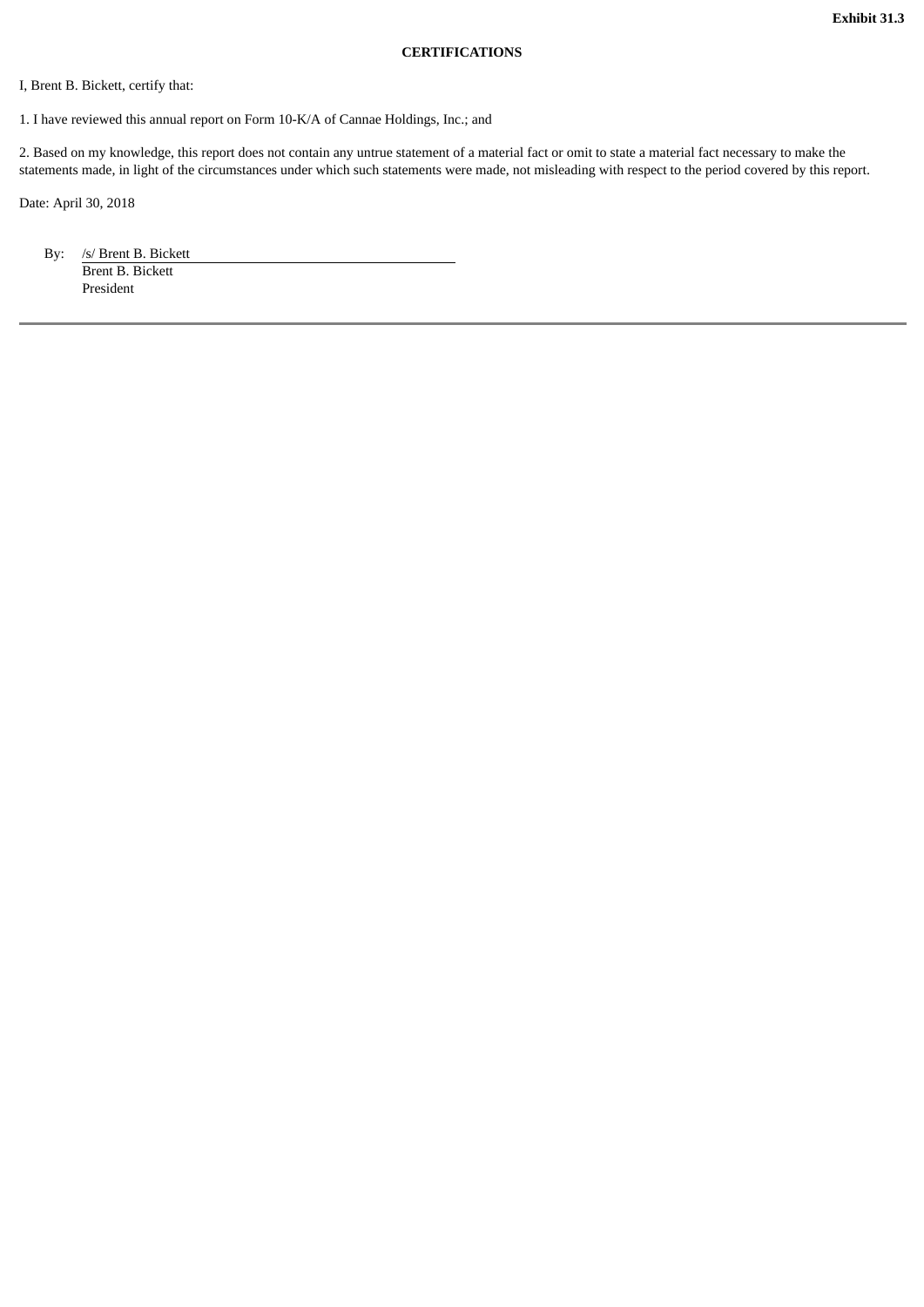## <span id="page-21-0"></span>**CERTIFICATIONS**

I, Brent B. Bickett, certify that:

1. I have reviewed this annual report on Form 10-K/A of Cannae Holdings, Inc.; and

2. Based on my knowledge, this report does not contain any untrue statement of a material fact or omit to state a material fact necessary to make the statements made, in light of the circumstances under which such statements were made, not misleading with respect to the period covered by this report.

Date: April 30, 2018

By: /s/ Brent B. Bickett Brent B. Bickett President